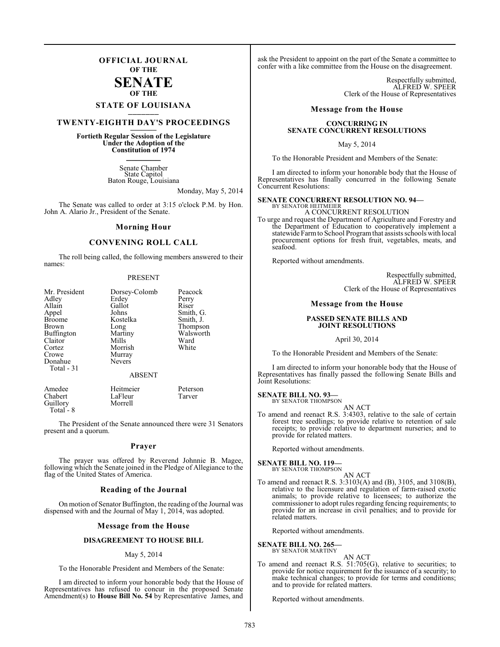### **OFFICIAL JOURNAL OF THE**

### **SENATE OF THE**

# **STATE OF LOUISIANA \_\_\_\_\_\_\_**

### **TWENTY-EIGHTH DAY'S PROCEEDINGS \_\_\_\_\_\_\_**

### **Fortieth Regular Session of the Legislature Under the Adoption of the Constitution of 1974 \_\_\_\_\_\_\_**

Senate Chamber State Capitol Baton Rouge, Louisiana

Monday, May 5, 2014

The Senate was called to order at 3:15 o'clock P.M. by Hon. John A. Alario Jr., President of the Senate.

#### **Morning Hour**

### **CONVENING ROLL CALL**

The roll being called, the following members answered to their names:

#### PRESENT

| Mr. President         | Dorsey-Colomb | Peacock   |
|-----------------------|---------------|-----------|
| Adley                 | Erdey         | Perry     |
| Allain                | Gallot        | Riser     |
| Appel                 | Johns         | Smith, G. |
| <b>Broome</b>         | Kostelka      | Smith, J. |
| Brown                 | Long          | Thompson  |
| Buffington            | Martiny       | Walsworth |
| Claitor               | Mills         | Ward      |
| Cortez                | Morrish       | White     |
| Crowe                 | Murray        |           |
| Donahue<br>Total - 31 | Nevers        |           |
|                       | <b>ABSENT</b> |           |
|                       |               |           |

Amedee Heitmeier Peterson<br>Chabert LaFleur Tarver LaFleur<br>Morrell Guillory Total<sup>-</sup>8

The President of the Senate announced there were 31 Senators present and a quorum.

#### **Prayer**

The prayer was offered by Reverend Johnnie B. Magee, following which the Senate joined in the Pledge of Allegiance to the flag of the United States of America.

#### **Reading of the Journal**

On motion of Senator Buffington, the reading of the Journal was dispensed with and the Journal of May 1, 2014, was adopted.

#### **Message from the House**

#### **DISAGREEMENT TO HOUSE BILL**

#### May 5, 2014

To the Honorable President and Members of the Senate:

I am directed to inform your honorable body that the House of Representatives has refused to concur in the proposed Senate Amendment(s) to **House Bill No. 54** by Representative James, and

ask the President to appoint on the part of the Senate a committee to confer with a like committee from the House on the disagreement.

> Respectfully submitted, ALFRED W. SPEER Clerk of the House of Representatives

#### **Message from the House**

#### **CONCURRING IN SENATE CONCURRENT RESOLUTIONS**

May 5, 2014

To the Honorable President and Members of the Senate:

I am directed to inform your honorable body that the House of Representatives has finally concurred in the following Senate Concurrent Resolutions:

#### **SENATE CONCURRENT RESOLUTION NO. 94—**

BY SENATOR HEITMEIER A CONCURRENT RESOLUTION

To urge and request the Department of Agriculture and Forestry and the Department of Education to cooperatively implement a statewide Farm to School Program that assists schools with local procurement options for fresh fruit, vegetables, meats, and seafood.

Reported without amendments.

Respectfully submitted, ALFRED W. SPEER Clerk of the House of Representatives

#### **Message from the House**

#### **PASSED SENATE BILLS AND JOINT RESOLUTIONS**

April 30, 2014

To the Honorable President and Members of the Senate:

I am directed to inform your honorable body that the House of Representatives has finally passed the following Senate Bills and Joint Resolutions:

#### **SENATE BILL NO. 93—** BY SENATOR THOMPSON

AN ACT

To amend and reenact R.S. 3:4303, relative to the sale of certain forest tree seedlings; to provide relative to retention of sale receipts; to provide relative to department nurseries; and to provide for related matters.

Reported without amendments.

#### **SENATE BILL NO. 119—**

BY SENATOR THOMPSON

AN ACT To amend and reenact R.S. 3:3103(A) and (B), 3105, and 3108(B), relative to the licensure and regulation of farm-raised exotic animals; to provide relative to licensees; to authorize the commissioner to adopt rules regarding fencing requirements; to provide for an increase in civil penalties; and to provide for related matters.

Reported without amendments.

#### **SENATE BILL NO. 265** BY SENATOR MARTINY

AN ACT

To amend and reenact R.S. 51:705(G), relative to securities; to provide for notice requirement for the issuance of a security; to make technical changes; to provide for terms and conditions; and to provide for related matters.

Reported without amendments.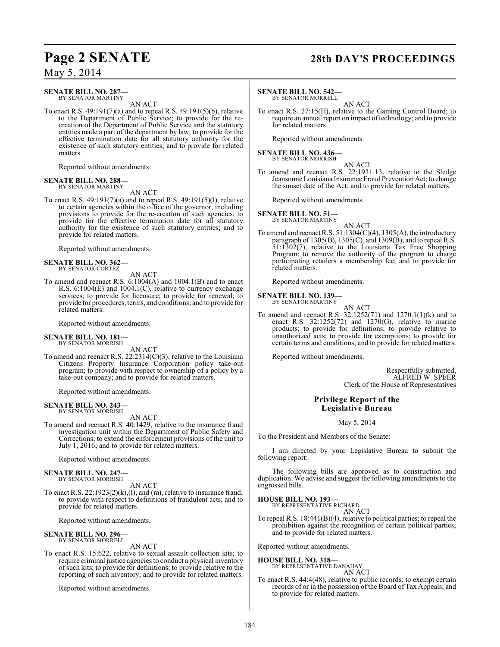#### **SENATE BILL NO. 287—** BY SENATOR MARTINY

AN ACT

To enact R.S. 49:191(7)(a) and to repeal R.S. 49:191(5)(b), relative to the Department of Public Service; to provide for the recreation of the Department of Public Service and the statutory entities made a part of the department by law; to provide for the effective termination date for all statutory authority for the existence of such statutory entities; and to provide for related matters.

Reported without amendments.

#### **SENATE BILL NO. 288** BY SENATOR MARTINY

AN ACT

To enact R.S. 49:191(7)(a) and to repeal R.S. 49:191(5)(l), relative to certain agencies within the office of the governor, including provisions to provide for the re-creation of such agencies; to provide for the effective termination date for all statutory authority for the existence of such statutory entities; and to provide for related matters.

Reported without amendments.

#### **SENATE BILL NO. 362—** BY SENATOR CORTEZ

AN ACT

To amend and reenact R.S. 6:1004(A) and 1004.1(B) and to enact R.S. 6:1004(E) and 1004.1(C), relative to currency exchange services; to provide for licensure; to provide for renewal; to provide for procedures, terms, and conditions; and to provide for related matters.

Reported without amendments.

# **SENATE BILL NO. 181—** BY SENATOR MORRISH

AN ACT

To amend and reenact R.S. 22:2314(C)(3), relative to the Louisiana Citizens Property Insurance Corporation policy take-out program; to provide with respect to ownership of a policy by a take-out company; and to provide for related matters.

Reported without amendments.

#### **SENATE BILL NO. 243—** BY SENATOR MORRISH

AN ACT

To amend and reenact R.S. 40:1429, relative to the insurance fraud investigation unit within the Department of Public Safety and Corrections; to extend the enforcement provisions of the unit to July 1, 2016; and to provide for related matters.

Reported without amendments.

#### **SENATE BILL NO. 247—** BY SENATOR MORRISH

AN ACT

To enact R.S. 22:1923(2)(k),(l), and (m), relative to insurance fraud; to provide with respect to definitions of fraudulent acts; and to provide for related matters.

Reported without amendments.

#### **SENATE BILL NO. 296** BY SENATOR MORRELL

AN ACT

To enact R.S. 15:622, relative to sexual assault collection kits; to require criminal justice agencies to conduct a physical inventory ofsuch kits; to provide for definitions; to provide relative to the reporting of such inventory; and to provide for related matters.

Reported without amendments.

# **Page 2 SENATE 28th DAY'S PROCEEDINGS**

#### **SENATE BILL NO. 542—**

BY SENATOR MORRELL

AN ACT To enact R.S. 27:15(H), relative to the Gaming Control Board; to require an annual report on impact of technology; and to provide for related matters.

Reported without amendments.

#### **SENATE BILL NO. 436—** BY SENATOR MORRISH

AN ACT

To amend and reenact R.S. 22:1931.13, relative to the Sledge Jeansonne Louisiana Insurance Fraud Prevention Act; to change the sunset date of the Act; and to provide for related matters.

Reported without amendments.

#### **SENATE BILL NO. 51—**

BY SENATOR MARTINY

AN ACT To amend and reenact R.S.  $51:1304(C)(4)$ ,  $1305(A)$ , the introductory paragraph of  $1305(B)$ ,  $1305(C)$ , and  $1309(B)$ , and to repeal R.S. 51:1302(7), relative to the Louisiana Tax Free Shopping Program; to remove the authority of the program to charge participating retailers a membership fee; and to provide for related matters.

Reported without amendments.

#### **SENATE BILL NO. 139—** BY SENATOR MARTINY

AN ACT

To amend and reenact R.S. 32:1252(71) and 1270.1(1)(k) and to enact R.S.  $32:1252(72)$  and  $1270(G)$ , relative to marine products; to provide for definitions; to provide relative to unauthorized acts; to provide for exemptions; to provide for certain terms and conditions; and to provide for related matters.

Reported without amendments.

Respectfully submitted, ALFRED W. SPEER Clerk of the House of Representatives

### **Privilege Report of the Legislative Bureau**

#### May 5, 2014

To the President and Members of the Senate:

I am directed by your Legislative Bureau to submit the following report:

The following bills are approved as to construction and duplication. We advise and suggest the following amendments to the engrossed bills.

#### **HOUSE BILL NO. 193—**

BY REPRESENTATIVE RICHARD AN ACT

To repeal R.S. 18:441(B)(4), relative to political parties; to repeal the prohibition against the recognition of certain political parties; and to provide for related matters.

Reported without amendments.

#### **HOUSE BILL NO. 318—**

BY REPRESENTATIVE DANAHAY AN ACT

To enact R.S. 44:4(48), relative to public records; to exempt certain records of or in the possession of the Board of Tax Appeals; and to provide for related matters.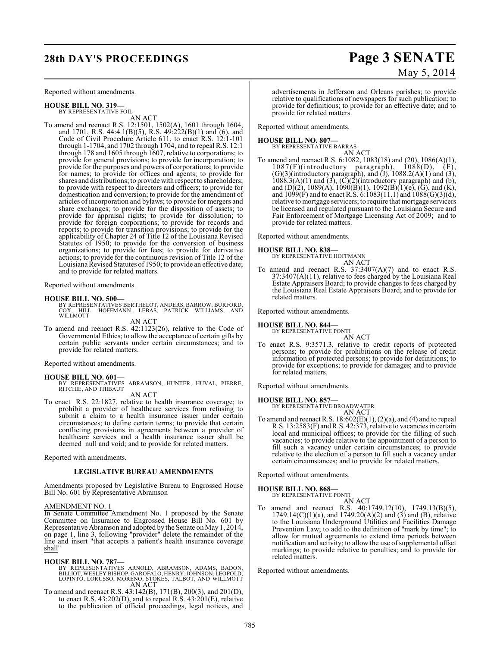# **28th DAY'S PROCEEDINGS Page 3 SENATE**

Reported without amendments.

**HOUSE BILL NO. 319—** BY REPRESENTATIVE FOIL

AN ACT To amend and reenact R.S. 12:1501, 1502(A), 1601 through 1604, and 1701, R.S. 44:4.1(B)(5), R.S. 49:222(B)(1) and (6), and Code of Civil Procedure Article 611, to enact R.S. 12:1-101 through 1-1704, and 1702 through 1704, and to repeal R.S. 12:1 through 178 and 1605 through 1607, relative to corporations; to provide for general provisions; to provide for incorporation; to provide for the purposes and powers of corporations; to provide for names; to provide for offices and agents; to provide for shares and distributions; to provide with respect to shareholders; to provide with respect to directors and officers; to provide for domestication and conversion; to provide for the amendment of articles of incorporation and bylaws; to provide for mergers and share exchanges; to provide for the disposition of assets; to provide for appraisal rights; to provide for dissolution; to provide for foreign corporations; to provide for records and reports; to provide for transition provisions; to provide for the applicability of Chapter 24 of Title 12 of the Louisiana Revised Statutes of 1950; to provide for the conversion of business organizations; to provide for fees; to provide for derivative actions; to provide for the continuousrevision of Title 12 of the Louisiana Revised Statutes of 1950; to provide an effective date; and to provide for related matters.

Reported without amendments.

#### **HOUSE BILL NO. 500—**

BY REPRESENTATIVES BERTHELOT, ANDERS, BARROW, BURFORD,<br>COX, HILL, HOFFMANN, LEBAS, PATRICK WILLIAMS, AND<br>WILLMOTT

AN ACT

To amend and reenact R.S. 42:1123(26), relative to the Code of Governmental Ethics; to allow the acceptance of certain gifts by certain public servants under certain circumstances; and to provide for related matters.

Reported without amendments.

#### **HOUSE BILL NO. 601—**

BY REPRESENTATIVES ABRAMSON, HUNTER, HUVAL, PIERRE, RITCHIE, AND THIBAUT AN ACT

To enact R.S. 22:1827, relative to health insurance coverage; to prohibit a provider of healthcare services from refusing to submit a claim to a health insurance issuer under certain circumstances; to define certain terms; to provide that certain conflicting provisions in agreements between a provider of healthcare services and a health insurance issuer shall be deemed null and void; and to provide for related matters.

Reported with amendments.

#### **LEGISLATIVE BUREAU AMENDMENTS**

Amendments proposed by Legislative Bureau to Engrossed House Bill No. 601 by Representative Abramson

#### AMENDMENT NO. 1

In Senate Committee Amendment No. 1 proposed by the Senate Committee on Insurance to Engrossed House Bill No. 601 by Representative Abramson and adopted by the Senate on May 1, 2014, on page 1, line 3, following "provider" delete the remainder of the line and insert "that accepts a patient's health insurance coverage shall"

#### **HOUSE BILL NO. 787—**

- BY REPRESENTATIVES ARNOLD, ABRAMSON, ADAMS, BADON,<br>BILLIOT,WESLEYBISHOP,GAROFALO,HENRY,JOHNSON,LEOPOLD,<br>LOPINTO,LORUSSO,MORENO,STOKES,TALBOT,AND WILLMOTT<br>AN ACT
- To amend and reenact R.S. 43:142(B), 171(B), 200(3), and 201(D), to enact R.S. 43:202(D), and to repeal R.S. 43:201(E), relative to the publication of official proceedings, legal notices, and

May 5, 2014

advertisements in Jefferson and Orleans parishes; to provide relative to qualifications of newspapers for such publication; to provide for definitions; to provide for an effective date; and to provide for related matters.

Reported without amendments.

#### **HOUSE BILL NO. 807—**

BY REPRESENTATIVE BARRAS AN ACT

To amend and reenact R.S. 6:1082, 1083(18) and (20), 1086(A)(1), 1087(F)(introductory paragraph), 1088(D), (F),  $(G)(3)$ (introductory paragraph), and  $(J)$ , 1088.2(A) $(1)$  and  $(3)$ ,  $1088.3(A)(1)$  and  $(3)$ ,  $(\overrightarrow{C})(2)$ (introductory paragraph) and  $(b)$ , and (D)(2), 1089(A), 1090(B)(1), 1092(B)(1)(e), (G), and (K), and  $1099(F)$  and to enact R.S. 6:1083(11.1) and  $1088(G)(3)(d)$ , relative to mortgage servicers; to require that mortgage servicers be licensed and regulated pursuant to the Louisiana Secure and Fair Enforcement of Mortgage Licensing Act of 2009; and to provide for related matters.

Reported without amendments.

#### **HOUSE BILL NO. 838—**

BY REPRESENTATIVE HOFFMANN AN ACT

To amend and reenact R.S.  $37:3407(A)(7)$  and to enact R.S. 37:3407(A)(11), relative to fees charged by the Louisiana Real Estate Appraisers Board; to provide changes to fees charged by the Louisiana Real Estate Appraisers Board; and to provide for related matters.

Reported without amendments.

#### **HOUSE BILL NO. 844—**

BY REPRESENTATIVE PONTI

- AN ACT
- To enact R.S. 9:3571.3, relative to credit reports of protected persons; to provide for prohibitions on the release of credit information of protected persons; to provide for definitions; to provide for exceptions; to provide for damages; and to provide for related matters.

Reported without amendments.

### **HOUSE BILL NO. 857—** BY REPRESENTATIVE BROADWATER

AN ACT

To amend and reenact R.S. 18:602(E)(1), (2)(a), and (4) and to repeal R.S. 13:2583(F) and R.S. 42:373, relative to vacancies in certain local and municipal offices; to provide for the filling of such vacancies; to provide relative to the appointment of a person to fill such a vacancy under certain circumstances; to provide relative to the election of a person to fill such a vacancy under certain circumstances; and to provide for related matters.

Reported without amendments.

#### **HOUSE BILL NO. 868—**

BY REPRESENTATIVE PONTI

AN ACT To amend and reenact R.S. 40:1749.12(10), 1749.13(B)(5),  $1749.14(C)(1)(a)$ , and  $1749.20(A)(2)$  and  $(3)$  and  $(B)$ , relative to the Louisiana Underground Utilities and Facilities Damage Prevention Law; to add to the definition of "mark by time"; to allow for mutual agreements to extend time periods between notification and activity; to allow the use of supplemental offset markings; to provide relative to penalties; and to provide for related matters.

Reported without amendments.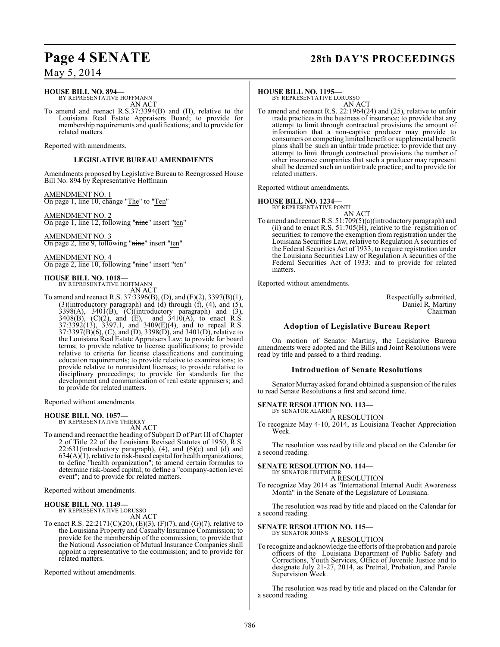# **Page 4 SENATE 28th DAY'S PROCEEDINGS**

May 5, 2014

#### **HOUSE BILL NO. 894—** BY REPRESENTATIVE HOFFMANN

AN ACT

To amend and reenact R.S.37:3394(B) and (H), relative to the Louisiana Real Estate Appraisers Board; to provide for membership requirements and qualifications; and to provide for related matters.

Reported with amendments.

#### **LEGISLATIVE BUREAU AMENDMENTS**

Amendments proposed by Legislative Bureau to Reengrossed House Bill No. 894 by Representative Hoffmann

AMENDMENT NO. 1 On page 1, line 10, change "The" to "Ten"

AMENDMENT NO. 2 On page 1, line 12, following "nine" insert "ten"

AMENDMENT NO. 3 On page 2, line 9, following "nine" insert "ten"

AMENDMENT NO. 4 On page 2, line 10, following "nine" insert "ten"

#### **HOUSE BILL NO. 1018—**

BY REPRESENTATIVE HOFFMANN AN ACT

To amend and reenact R.S. 37:3396(B), (D), and (F)(2), 3397(B)(1), (3)(introductory paragraph) and  $(d)$  through  $(f)$ ,  $(4)$ , and  $(5)$ ,  $3398(A)$ ,  $3401(B)$ ,  $(C)(introducing)$  paragraph) and  $(3)$ ,  $3408(B)$ ,  $(C)(2)$ , and  $(E)$ , and  $3410(A)$ , to enact R.S. 37:3392(13), 3397.1, and 3409(E)(4), and to repeal R.S. 37:3397(B)(6), (C), and (D), 3398(D), and 3401(D), relative to the Louisiana Real Estate Appraisers Law; to provide for board terms; to provide relative to license qualifications; to provide relative to criteria for license classifications and continuing education requirements; to provide relative to examinations; to provide relative to nonresident licenses; to provide relative to disciplinary proceedings; to provide for standards for the development and communication of real estate appraisers; and to provide for related matters.

Reported without amendments.

#### **HOUSE BILL NO. 1057—**

BY REPRESENTATIVE THIERRY AN ACT

To amend and reenact the heading of Subpart D of Part III of Chapter 2 of Title 22 of the Louisiana Revised Statutes of 1950, R.S.  $22:631$ (introductory paragraph),  $(4)$ , and  $(6)(c)$  and  $(d)$  and 634(A)(1), relative to risk-based capital for health organizations; to define "health organization"; to amend certain formulas to determine risk-based capital; to define a "company-action level event"; and to provide for related matters.

Reported without amendments.

#### **HOUSE BILL NO. 1149—**

BY REPRESENTATIVE LORUSSO AN ACT

To enact R.S. 22:2171(C)(20), (E)(3), (F)(7), and (G)(7), relative to the Louisiana Property and Casualty Insurance Commission; to provide for the membership of the commission; to provide that the National Association of Mutual Insurance Companies shall appoint a representative to the commission; and to provide for related matters.

Reported without amendments.

#### **HOUSE BILL NO. 1195—**

BY REPRESENTATIVE LORUSSO AN ACT

To amend and reenact R.S. 22:1964(24) and (25), relative to unfair trade practices in the business of insurance; to provide that any attempt to limit through contractual provisions the amount of information that a non-captive producer may provide to consumers on competing limited benefit or supplemental benefit plans shall be such an unfair trade practice; to provide that any attempt to limit through contractual provisions the number of other insurance companies that such a producer may represent shall be deemed such an unfair trade practice; and to provide for related matters.

Reported without amendments.

### **HOUSE BILL NO. 1234—** BY REPRESENTATIVE PONTI

AN ACT

To amend and reenact R.S.  $51:709(5)(a)$ (introductory paragraph) and (ii) and to enact R.S.  $51:705(H)$ , relative to the registration of securities; to remove the exemption from registration under the Louisiana Securities Law, relative to Regulation A securities of the Federal Securities Act of 1933; to require registration under the Louisiana Securities Law of Regulation A securities of the Federal Securities Act of 1933; and to provide for related matters.

Reported without amendments.

Respectfully submitted, Daniel R. Martiny Chairman

### **Adoption of Legislative Bureau Report**

On motion of Senator Martiny, the Legislative Bureau amendments were adopted and the Bills and Joint Resolutions were read by title and passed to a third reading.

#### **Introduction of Senate Resolutions**

Senator Murray asked for and obtained a suspension of the rules to read Senate Resolutions a first and second time.

#### **SENATE RESOLUTION NO. 113—**

BY SENATOR ALARIO A RESOLUTION

To recognize May 4-10, 2014, as Louisiana Teacher Appreciation Week.

The resolution was read by title and placed on the Calendar for a second reading.

#### **SENATE RESOLUTION NO. 114—**

BY SENATOR HEITMEIER A RESOLUTION

To recognize May 2014 as "International Internal Audit Awareness Month" in the Senate of the Legislature of Louisiana.

The resolution was read by title and placed on the Calendar for a second reading.

#### **SENATE RESOLUTION NO. 115—** BY SENATOR JOHNS

A RESOLUTION

To recognize and acknowledge the efforts of the probation and parole officers of the Louisiana Department of Public Safety and Corrections, Youth Services, Office of Juvenile Justice and to designate July 21-27, 2014, as Pretrial, Probation, and Parole Supervision Week.

The resolution was read by title and placed on the Calendar for a second reading.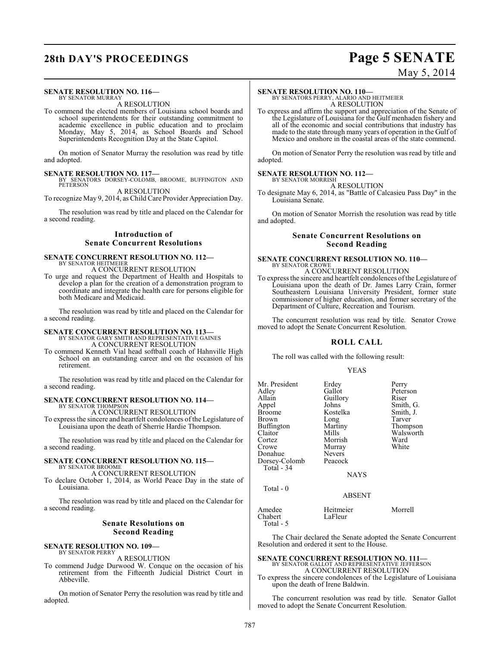# **28th DAY'S PROCEEDINGS Page 5 SENATE**

#### **SENATE RESOLUTION NO. 116—** BY SENATOR MURRAY

### A RESOLUTION

To commend the elected members of Louisiana school boards and school superintendents for their outstanding commitment to academic excellence in public education and to proclaim Monday, May 5, 2014, as School Boards and School Superintendents Recognition Day at the State Capitol.

On motion of Senator Murray the resolution was read by title and adopted.

#### **SENATE RESOLUTION NO. 117—**

BY SENATORS DORSEY-COLOMB, BROOME, BUFFINGTON AND PETERSON A RESOLUTION

To recognize May 9, 2014, as Child Care Provider Appreciation Day.

The resolution was read by title and placed on the Calendar for a second reading.

#### **Introduction of Senate Concurrent Resolutions**

#### **SENATE CONCURRENT RESOLUTION NO. 112—** BY SENATOR HEITMEIER A CONCURRENT RESOLUTION

To urge and request the Department of Health and Hospitals to develop a plan for the creation of a demonstration program to coordinate and integrate the health care for persons eligible for both Medicare and Medicaid.

The resolution was read by title and placed on the Calendar for a second reading.

#### **SENATE CONCURRENT RESOLUTION NO. 113—**

BY SENATOR GARY SMITH AND REPRESENTATIVE GAINES A CONCURRENT RESOLUTION

To commend Kenneth Vial head softball coach of Hahnville High School on an outstanding career and on the occasion of his retirement.

The resolution was read by title and placed on the Calendar for a second reading.

#### **SENATE CONCURRENT RESOLUTION NO. 114—** BY SENATOR THOMPSON

A CONCURRENT RESOLUTION

To express the sincere and heartfelt condolences of the Legislature of Louisiana upon the death of Sherrie Hardie Thompson.

The resolution was read by title and placed on the Calendar for a second reading.

#### **SENATE CONCURRENT RESOLUTION NO. 115—** BY SENATOR BROOME

A CONCURRENT RESOLUTION

To declare October 1, 2014, as World Peace Day in the state of Louisiana.

The resolution was read by title and placed on the Calendar for a second reading.

#### **Senate Resolutions on Second Reading**

### **SENATE RESOLUTION NO. 109—** BY SENATOR PERRY

A RESOLUTION

To commend Judge Durwood W. Conque on the occasion of his retirement from the Fifteenth Judicial District Court in Abbeville.

On motion of Senator Perry the resolution was read by title and adopted.

**SENATE RESOLUTION NO. 110—**<br>BY SENATORS PERRY, ALARIO AND HEITMEIER<br>A RESOLUTION

To express and affirm the support and appreciation of the Senate of the Legislature of Louisiana for the Gulf menhaden fishery and all of the economic and social contributions that industry has made to the state through many years of operation in the Gulf of Mexico and onshore in the coastal areas of the state commend.

On motion of Senator Perry the resolution was read by title and adopted.

#### **SENATE RESOLUTION NO. 112—**

BY SENATOR MORRISH A RESOLUTION

To designate May 6, 2014, as "Battle of Calcasieu Pass Day" in the Louisiana Senate.

On motion of Senator Morrish the resolution was read by title and adopted.

#### **Senate Concurrent Resolutions on Second Reading**

### **SENATE CONCURRENT RESOLUTION NO. 110—** BY SENATOR CROWE A CONCURRENT RESOLUTION

To express the sincere and heartfelt condolences of the Legislature of Louisiana upon the death of Dr. James Larry Crain, former Southeastern Louisiana University President, former state commissioner of higher education, and former secretary of the Department of Culture, Recreation and Tourism.

The concurrent resolution was read by title. Senator Crowe moved to adopt the Senate Concurrent Resolution.

### **ROLL CALL**

The roll was called with the following result:

#### YEAS

| Mr. President<br>Adlev<br>Allain<br>Appel<br>Broome<br>Brown<br>Buffington<br>Claitor<br>Cortez<br>Crowe<br>Donahue<br>Dorsey-Colomb<br>Total - 34 | Erdey<br>Gallot<br>Guillory<br>Johns<br>Kostelka<br>Long<br>Martiny<br>Mills<br>Morrish<br>Murray<br><b>Nevers</b><br>Peacock<br><b>NAYS</b> | Perry<br>Peterson<br>Riser<br>Smith, G.<br>Smith, J.<br>Tarver<br>Thompson<br>Walsworth<br>Ward<br>White |
|----------------------------------------------------------------------------------------------------------------------------------------------------|----------------------------------------------------------------------------------------------------------------------------------------------|----------------------------------------------------------------------------------------------------------|
| Total - 0                                                                                                                                          | <b>ABSENT</b>                                                                                                                                |                                                                                                          |
|                                                                                                                                                    |                                                                                                                                              |                                                                                                          |

Amedee Heitmeier Morrell<br>Chabert LaFleur LaFleur Total - 5

The Chair declared the Senate adopted the Senate Concurrent Resolution and ordered it sent to the House.

### **SENATE CONCURRENT RESOLUTION NO. 111—** BY SENATOR GALLOT AND REPRESENTATIVE JEFFERSON A CONCURRENT RESOLUTION

To express the sincere condolences of the Legislature of Louisiana upon the death of Irene Baldwin.

The concurrent resolution was read by title. Senator Gallot moved to adopt the Senate Concurrent Resolution.

# May 5, 2014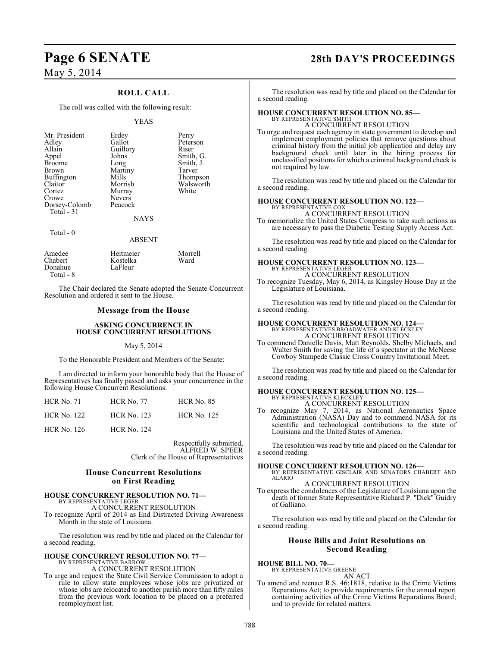### **ROLL CALL**

The roll was called with the following result:

#### YEAS

| Mr. President<br>Adley<br>Allain<br>Appel<br><b>Broome</b><br><b>Brown</b><br>Buffington<br>Claitor<br>Cortez<br>Crowe<br>Dorsey-Colomb<br>Total $-31$ | Erdey<br>Gallot<br>Guillory<br>Johns<br>Long<br>Martiny<br>Mills<br>Morrish<br>Murray<br><b>Nevers</b><br>Peacock<br><b>NAYS</b> | Perry<br>Peterson<br>Riser<br>Smith, G.<br>Smith, J.<br>Tarver<br>Thompson<br>Walsworth<br>White |
|--------------------------------------------------------------------------------------------------------------------------------------------------------|----------------------------------------------------------------------------------------------------------------------------------|--------------------------------------------------------------------------------------------------|
| Total $-0$                                                                                                                                             | <b>ABSENT</b>                                                                                                                    |                                                                                                  |

| Amedee    | Heitmeier | Morrell |
|-----------|-----------|---------|
| Chabert   | Kostelka  | Ward    |
| Donahue   | LaFleur   |         |
| Total - 8 |           |         |

The Chair declared the Senate adopted the Senate Concurrent Resolution and ordered it sent to the House.

#### **Message from the House**

#### **ASKING CONCURRENCE IN HOUSE CONCURRENT RESOLUTIONS**

#### May 5, 2014

To the Honorable President and Members of the Senate:

I am directed to inform your honorable body that the House of Representatives has finally passed and asks your concurrence in the following House Concurrent Resolutions:

| <b>HCR No. 71</b>  | <b>HCR No. 77</b>  | <b>HCR No. 85</b>  |
|--------------------|--------------------|--------------------|
| <b>HCR No. 122</b> | <b>HCR No. 123</b> | <b>HCR No. 125</b> |
| <b>HCR No. 126</b> | <b>HCR No. 124</b> |                    |

Respectfully submitted, ALFRED W. SPEER Clerk of the House of Representatives

#### **House Concurrent Resolutions on First Reading**

#### **HOUSE CONCURRENT RESOLUTION NO. 71—** BY REPRESENTATIVE LEGER

A CONCURRENT RESOLUTION

To recognize April of 2014 as End Distracted Driving Awareness Month in the state of Louisiana.

The resolution was read by title and placed on the Calendar for a second reading.

### **HOUSE CONCURRENT RESOLUTION NO. 77—** BY REPRESENTATIVE BARROW

A CONCURRENT RESOLUTION

To urge and request the State Civil Service Commission to adopt a rule to allow state employees whose jobs are privatized or whose jobs are relocated to another parish more than fifty miles from the previous work location to be placed on a preferred reemployment list.

# **Page 6 SENATE 28th DAY'S PROCEEDINGS**

The resolution was read by title and placed on the Calendar for a second reading.

### **HOUSE CONCURRENT RESOLUTION NO. 85—** BY REPRESENTATIVE SMITH

A CONCURRENT RESOLUTION

To urge and request each agency in state government to develop and implement employment policies that remove questions about criminal history from the initial job application and delay any background check until later in the hiring process for unclassified positions for which a criminal background check is not required by law.

The resolution was read by title and placed on the Calendar for a second reading.

#### **HOUSE CONCURRENT RESOLUTION NO. 122—** BY REPRESENTATIVE COX

A CONCURRENT RESOLUTION

To memorialize the United States Congress to take such actions as are necessary to pass the Diabetic Testing Supply Access Act.

The resolution was read by title and placed on the Calendar for a second reading.

### **HOUSE CONCURRENT RESOLUTION NO. 123—** BY REPRESENTATIVE LEGER A CONCURRENT RESOLUTION

To recognize Tuesday, May 6, 2014, as Kingsley House Day at the Legislature of Louisiana.

The resolution was read by title and placed on the Calendar for a second reading.

**HOUSE CONCURRENT RESOLUTION NO. 124—** BY REPRESENTATIVES BROADWATER AND KLECKLEY A CONCURRENT RESOLUTION

To commend Danielle Davis, Matt Reynolds, Shelby Michaels, and Walter Smith for saving the life of a spectator at the McNeese Cowboy Stampede Classic Cross Country Invitational Meet.

The resolution was read by title and placed on the Calendar for a second reading.

#### **HOUSE CONCURRENT RESOLUTION NO. 125—** BY REPRESENTATIVE KLECKLEY

A CONCURRENT RESOLUTION

To recognize May 7, 2014, as National Aeronautics Space Administration (NASA) Day and to commend NASA for its scientific and technological contributions to the state of Louisiana and the United States of America.

The resolution was read by title and placed on the Calendar for a second reading.

#### **HOUSE CONCURRENT RESOLUTION NO. 126—**

BY REPRESENTATIVE GISCLAIR AND SENATORS CHABERT AND ALARIO

A CONCURRENT RESOLUTION To express the condolences of the Legislature of Louisiana upon the death of former State Representative Richard P. "Dick" Guidry of Galliano.

The resolution was read by title and placed on the Calendar for a second reading.

#### **House Bills and Joint Resolutions on Second Reading**

**HOUSE BILL NO. 70—** BY REPRESENTATIVE GREENE

AN ACT

To amend and reenact R.S. 46:1818, relative to the Crime Victims Reparations Act; to provide requirements for the annual report containing activities of the Crime Victims Reparations Board; and to provide for related matters.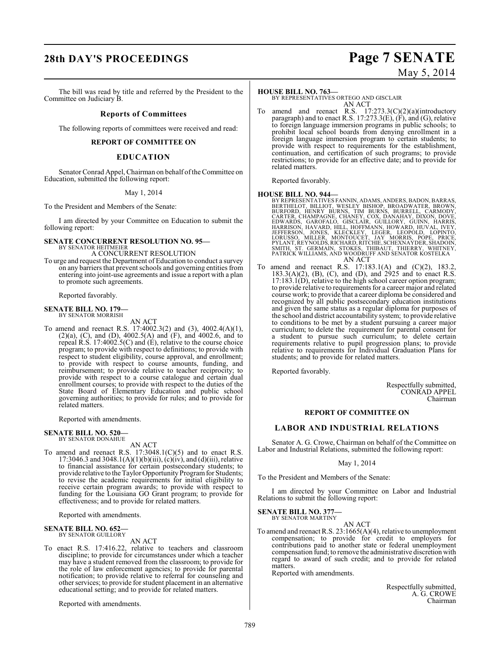# **28th DAY'S PROCEEDINGS Page 7 SENATE** May 5, 2014

The bill was read by title and referred by the President to the Committee on Judiciary B.

#### **Reports of Committees**

The following reports of committees were received and read:

#### **REPORT OF COMMITTEE ON**

#### **EDUCATION**

Senator Conrad Appel, Chairman on behalf of the Committee on Education, submitted the following report:

May 1, 2014

To the President and Members of the Senate:

I am directed by your Committee on Education to submit the following report:

#### **SENATE CONCURRENT RESOLUTION NO. 95—** BY SENATOR HEITMEIER

A CONCURRENT RESOLUTION

To urge and request the Department of Education to conduct a survey on any barriers that prevent schools and governing entities from entering into joint-use agreements and issue a report with a plan to promote such agreements.

Reported favorably.

## **SENATE BILL NO. 179—** BY SENATOR MORRISH

AN ACT

To amend and reenact R.S. 17:4002.3(2) and (3), 4002.4(A)(1), (2)(a), (C), and (D), 4002.5(A) and (F), and 4002.6, and to repeal R.S. 17:4002.5(C) and (E), relative to the course choice program; to provide with respect to definitions; to provide with respect to student eligibility, course approval, and enrollment; to provide with respect to course amounts, funding, and reimbursement; to provide relative to teacher reciprocity; to provide with respect to a course catalogue and certain dual enrollment courses; to provide with respect to the duties of the State Board of Elementary Education and public school governing authorities; to provide for rules; and to provide for related matters.

Reported with amendments.

#### **SENATE BILL NO. 520—** BY SENATOR DONAHUE

AN ACT

To amend and reenact R.S. 17:3048.1(C)(5) and to enact R.S. 17:3046.3 and 3048.1(A)(1)(b)(iii), (c)(iv), and (d)(iii), relative to financial assistance for certain postsecondary students; to provide relative to the Taylor Opportunity Program for Students; to revise the academic requirements for initial eligibility to receive certain program awards; to provide with respect to funding for the Louisiana GO Grant program; to provide for effectiveness; and to provide for related matters.

Reported with amendments.

#### **SENATE BILL NO. 652—** BY SENATOR GUILLORY

AN ACT

To enact R.S. 17:416.22, relative to teachers and classroom discipline; to provide for circumstances under which a teacher may have a student removed from the classroom; to provide for the role of law enforcement agencies; to provide for parental notification; to provide relative to referral for counseling and other services; to provide forstudent placement in an alternative educational setting; and to provide for related matters.

Reported with amendments.

#### **HOUSE BILL NO. 763—**

BY REPRESENTATIVES ORTEGO AND GISCLAIR AN ACT

To amend and reenact R.S. 17:273.3(C)(2)(a)(introductory paragraph) and to enact R.S. 17:273.3(E), (F), and (G), relative to foreign language immersion programs in public schools; to prohibit local school boards from denying enrollment in a foreign language immersion program to certain students; to provide with respect to requirements for the establishment, continuation, and certification of such programs; to provide restrictions; to provide for an effective date; and to provide for related matters.

Reported favorably.

### **HOUSE BILL NO. 944—**

- BY REPRESENTATIVES FANNIN, ADAMS, ANDERS, BADON, BARRAS, BERTHELOT, BILLIOT, WESLEY BISHOP, BROADWATER, BROWN, BURFORD, HENRY BURNS, TIM BURNS, BURRELL, CARMODY, CARTER, CHAMPAGNE, CHANEY, COX, DANAHAY, DIXON, DOVE, EDWARDS, GAROFALO, GISCLAIR, GUILLORY, GUINN, HARRIS, HARRISON, HAVARD, HILL, HOFFMANN, HOWARD, HUVAL, IVEY, JEFFERSON, JONES, KLECKLEY, LEGER, LEOPOLD, LOPINTO, LORUSSO, MILLER, MONTOUCET, JAY MORRIS, POPE, PRICE, PYLANT, REYNOLDS, RICHARD, RITCHIE, SCHEXNAYDER, SHADOIN, SMITH, ST. GERMAIN, STOKES, THIBAUT, THIERRY, WHITNEY, PATRICK WILLIAMS, AND WOODRUFF AND SENATOR KOSTELKA AN ACT
- To amend and reenact R.S. 17:183.1(A) and (C)(2), 183.2,  $183.3(A)(2)$ ,  $(B)$ ,  $(C)$ , and  $(D)$ , and  $2925$  and to enact R.S. 17:183.1(D), relative to the high school career option program; to provide relative to requirements for a career major and related course work; to provide that a career diploma be considered and recognized by all public postsecondary education institutions and given the same status as a regular diploma for purposes of the school and district accountability system; to provide relative to conditions to be met by a student pursuing a career major curriculum; to delete the requirement for parental consent for a student to pursue such curriculum; to delete certain requirements relative to pupil progression plans; to provide relative to requirements for Individual Graduation Plans for students; and to provide for related matters.

Reported favorably.

Respectfully submitted, CONRAD APPEL Chairman

#### **REPORT OF COMMITTEE ON**

### **LABOR AND INDUSTRIAL RELATIONS**

Senator A. G. Crowe, Chairman on behalf of the Committee on Labor and Industrial Relations, submitted the following report:

#### May 1, 2014

To the President and Members of the Senate:

I am directed by your Committee on Labor and Industrial Relations to submit the following report:

### **SENATE BILL NO. 377—** BY SENATOR MARTINY

AN ACT

To amend and reenact R.S. 23:1665(A)(4), relative to unemployment compensation; to provide for credit to employers for contributions paid to another state or federal unemployment compensation fund; to remove the administrative discretion with regard to award of such credit; and to provide for related matters.

Reported with amendments.

Respectfully submitted, A. G. CROWE Chairman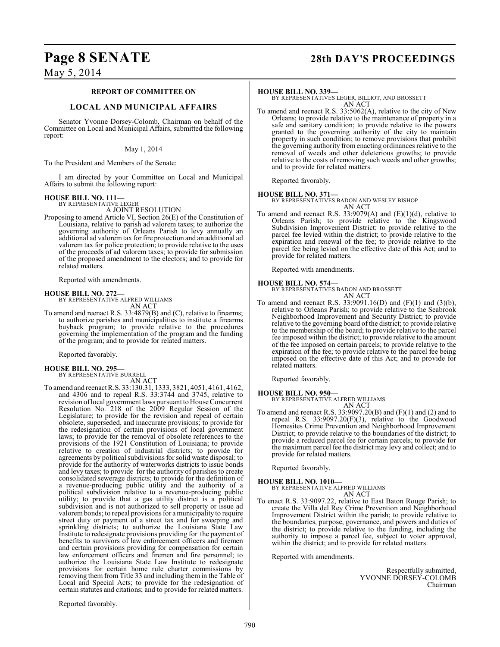### **Page 8 SENATE 28th DAY'S PROCEEDINGS**

May 5, 2014

#### **REPORT OF COMMITTEE ON**

#### **LOCAL AND MUNICIPAL AFFAIRS**

Senator Yvonne Dorsey-Colomb, Chairman on behalf of the Committee on Local and Municipal Affairs, submitted the following report:

#### May 1, 2014

To the President and Members of the Senate:

I am directed by your Committee on Local and Municipal Affairs to submit the following report:

#### **HOUSE BILL NO. 111—**

BY REPRESENTATIVE LEGER A JOINT RESOLUTION

Proposing to amend Article VI, Section 26(E) of the Constitution of Louisiana, relative to parish ad valorem taxes; to authorize the governing authority of Orleans Parish to levy annually an additional ad valorem tax for fire protection and an additional ad valorem tax for police protection; to provide relative to the uses of the proceeds of ad valorem taxes; to provide for submission of the proposed amendment to the electors; and to provide for related matters.

Reported with amendments.

#### **HOUSE BILL NO. 272—**

BY REPRESENTATIVE ALFRED WILLIAMS AN ACT

To amend and reenact R.S. 33:4879(B) and (C), relative to firearms; to authorize parishes and municipalities to institute a firearms buyback program; to provide relative to the procedures governing the implementation of the program and the funding of the program; and to provide for related matters.

Reported favorably.

#### **HOUSE BILL NO. 295—** BY REPRESENTATIVE BURRELL

AN ACT

To amend and reenactR.S. 33:130.31, 1333, 3821, 4051, 4161, 4162, and 4306 and to repeal R.S. 33:3744 and 3745, relative to revision of local government laws pursuant to House Concurrent Resolution No. 218 of the 2009 Regular Session of the Legislature; to provide for the revision and repeal of certain obsolete, superseded, and inaccurate provisions; to provide for the redesignation of certain provisions of local government laws; to provide for the removal of obsolete references to the provisions of the 1921 Constitution of Louisiana; to provide relative to creation of industrial districts; to provide for agreements by political subdivisions for solid waste disposal; to provide for the authority of waterworks districts to issue bonds and levy taxes; to provide for the authority of parishes to create consolidated sewerage districts; to provide for the definition of a revenue-producing public utility and the authority of a political subdivision relative to a revenue-producing public utility; to provide that a gas utility district is a political subdivision and is not authorized to sell property or issue ad valorem bonds; to repeal provisions for a municipality to require street duty or payment of a street tax and for sweeping and sprinkling districts; to authorize the Louisiana State Law Institute to redesignate provisions providing for the payment of benefits to survivors of law enforcement officers and firemen and certain provisions providing for compensation for certain law enforcement officers and firemen and fire personnel; to authorize the Louisiana State Law Institute to redesignate provisions for certain home rule charter commissions by removing them from Title 33 and including them in the Table of Local and Special Acts; to provide for the redesignation of certain statutes and citations; and to provide for related matters.

#### **HOUSE BILL NO. 339—**

BY REPRESENTATIVES LEGER, BILLIOT, AND BROSSETT AN ACT

To amend and reenact R.S. 33:5062(A), relative to the city of New Orleans; to provide relative to the maintenance of property in a safe and sanitary condition; to provide relative to the powers granted to the governing authority of the city to maintain property in such condition; to remove provisions that prohibit the governing authority from enacting ordinances relative to the removal of weeds and other deleterious growths; to provide relative to the costs of removing such weeds and other growths; and to provide for related matters.

Reported favorably.

**HOUSE BILL NO. 371—** BY REPRESENTATIVES BADON AND WESLEY BISHOP AN ACT

To amend and reenact R.S. 33:9079(A) and  $(E)(1)(d)$ , relative to Orleans Parish; to provide relative to the Kingswood Subdivision Improvement District; to provide relative to the parcel fee levied within the district; to provide relative to the expiration and renewal of the fee; to provide relative to the parcel fee being levied on the effective date of this Act; and to provide for related matters.

Reported with amendments.

**HOUSE BILL NO. 574—** BY REPRESENTATIVES BADON AND BROSSETT AN ACT

To amend and reenact R.S. 33:9091.16(D) and (F)(1) and (3)(b), relative to Orleans Parish; to provide relative to the Seabrook Neighborhood Improvement and Security District; to provide relative to the governing board of the district; to provide relative to the membership of the board; to provide relative to the parcel fee imposed within the district; to provide relative to the amount of the fee imposed on certain parcels; to provide relative to the expiration of the fee; to provide relative to the parcel fee being imposed on the effective date of this Act; and to provide for related matters.

Reported favorably.

**HOUSE BILL NO. 950—** BY REPRESENTATIVE ALFRED WILLIAMS

AN ACT

To amend and reenact R.S. 33:9097.20(B) and (F)(1) and (2) and to repeal R.S. 33:9097.20(F)(3), relative to the Goodwood Homesites Crime Prevention and Neighborhood Improvement District; to provide relative to the boundaries of the district; to provide a reduced parcel fee for certain parcels; to provide for the maximum parcel fee the district may levy and collect; and to provide for related matters.

Reported favorably.

#### **HOUSE BILL NO. 1010—** BY REPRESENTATIVE ALFRED WILLIAMS AN ACT

To enact R.S. 33:9097.22, relative to East Baton Rouge Parish; to create the Villa del Rey Crime Prevention and Neighborhood Improvement District within the parish; to provide relative to the boundaries, purpose, governance, and powers and duties of the district; to provide relative to the funding, including the authority to impose a parcel fee, subject to voter approval, within the district; and to provide for related matters.

Reported with amendments.

Respectfully submitted, YVONNE DORSEY-COLOMB Chairman

Reported favorably.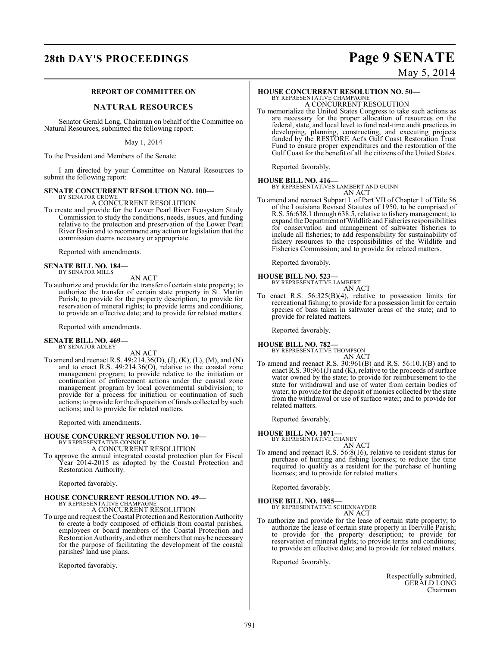## **28th DAY'S PROCEEDINGS Page 9 SENATE**

### **REPORT OF COMMITTEE ON**

#### **NATURAL RESOURCES**

Senator Gerald Long, Chairman on behalf of the Committee on Natural Resources, submitted the following report:

May 1, 2014

To the President and Members of the Senate:

I am directed by your Committee on Natural Resources to submit the following report:

#### **SENATE CONCURRENT RESOLUTION NO. 100—**

BY SENATOR CROWE A CONCURRENT RESOLUTION

To create and provide for the Lower Pearl River Ecosystem Study Commission to study the conditions, needs, issues, and funding relative to the protection and preservation of the Lower Pearl River Basin and to recommend any action or legislation that the commission deems necessary or appropriate.

Reported with amendments.

# **SENATE BILL NO. 184—** BY SENATOR MILLS

AN ACT

To authorize and provide for the transfer of certain state property; to authorize the transfer of certain state property in St. Martin Parish; to provide for the property description; to provide for reservation of mineral rights; to provide terms and conditions; to provide an effective date; and to provide for related matters.

Reported with amendments.

#### **SENATE BILL NO. 469—** BY SENATOR ADLEY

AN ACT

To amend and reenact R.S. 49:214.36(D), (J), (K), (L), (M), and (N) and to enact R.S. 49:214.36(O), relative to the coastal zone management program; to provide relative to the initiation or continuation of enforcement actions under the coastal zone management program by local governmental subdivision; to provide for a process for initiation or continuation of such actions; to provide for the disposition of funds collected by such actions; and to provide for related matters.

Reported with amendments.

### **HOUSE CONCURRENT RESOLUTION NO. 10—**

BY REPRESENTATIVE CONNICK A CONCURRENT RESOLUTION

To approve the annual integrated coastal protection plan for Fiscal Year 2014-2015 as adopted by the Coastal Protection and Restoration Authority.

Reported favorably.

#### **HOUSE CONCURRENT RESOLUTION NO. 49—** BY REPRESENTATIVE CHAMPAGNE

A CONCURRENT RESOLUTION

To urge and request the Coastal Protection and Restoration Authority to create a body composed of officials from coastal parishes, employees or board members of the Coastal Protection and Restoration Authority, and other members that may be necessary for the purpose of facilitating the development of the coastal parishes' land use plans.

Reported favorably.

# May 5, 2014

#### **HOUSE CONCURRENT RESOLUTION NO. 50—** BY REPRESENTATIVE CHAMPAGNI

A CONCURRENT RESOLUTION

To memorialize the United States Congress to take such actions as are necessary for the proper allocation of resources on the federal, state, and local level to fund real-time audit practices in developing, planning, constructing, and executing projects funded by the RESTORE Act's Gulf Coast Restoration Trust Fund to ensure proper expenditures and the restoration of the Gulf Coast for the benefit of all the citizens of the United States.

Reported favorably.

**HOUSE BILL NO. 416—** BY REPRESENTATIVES LAMBERT AND GUINN

AN ACT

To amend and reenact Subpart L of Part VII of Chapter 1 of Title 56 of the Louisiana Revised Statutes of 1950, to be comprised of R.S. 56:638.1 through 638.5, relative to fishery management; to expand the Department of Wildlife and Fisheries responsibilities for conservation and management of saltwater fisheries to include all fisheries; to add responsibility for sustainability of fishery resources to the responsibilities of the Wildlife and Fisheries Commission; and to provide for related matters.

Reported favorably.

#### **HOUSE BILL NO. 523—**

- BY REPRESENTATIVE LAMBERT AN ACT
- To enact R.S. 56:325(B)(4), relative to possession limits for recreational fishing; to provide for a possession limit for certain species of bass taken in saltwater areas of the state; and to provide for related matters.

Reported favorably.

### **HOUSE BILL NO. 782—** BY REPRESENTATIVE THOMPSON

AN ACT

To amend and reenact R.S. 30:961(B) and R.S. 56:10.1(B) and to enact R.S. 30:961(J) and (K), relative to the proceeds of surface water owned by the state; to provide for reimbursement to the state for withdrawal and use of water from certain bodies of water; to provide for the deposit of monies collected by the state from the withdrawal or use of surface water; and to provide for related matters.

Reported favorably.

### **HOUSE BILL NO. 1071—**

BY REPRESENTATIVE CHANEY

- AN ACT
- To amend and reenact R.S. 56:8(16), relative to resident status for purchase of hunting and fishing licenses; to reduce the time required to qualify as a resident for the purchase of hunting licenses; and to provide for related matters.

Reported favorably.

**HOUSE BILL NO. 1085—** BY REPRESENTATIVE SCHEXNAYDER

AN ACT

To authorize and provide for the lease of certain state property; to authorize the lease of certain state property in Iberville Parish; to provide for the property description; to provide for reservation of mineral rights; to provide terms and conditions; to provide an effective date; and to provide for related matters.

Reported favorably.

Respectfully submitted, GERALD LONG Chairman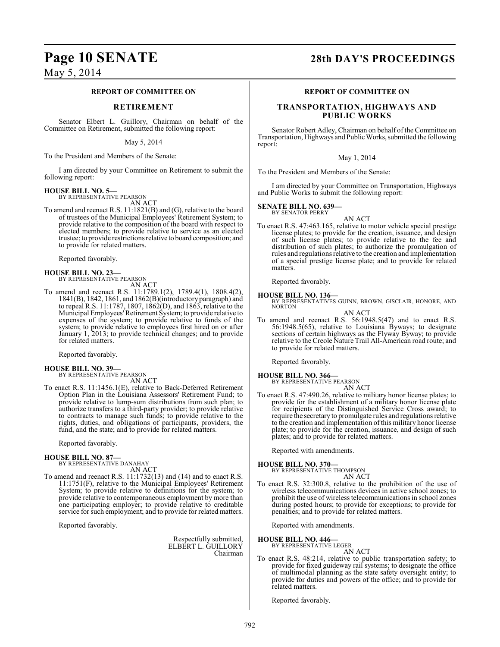# **Page 10 SENATE 28th DAY'S PROCEEDINGS**

May 5, 2014

#### **REPORT OF COMMITTEE ON**

#### **RETIREMENT**

Senator Elbert L. Guillory, Chairman on behalf of the Committee on Retirement, submitted the following report:

May 5, 2014

To the President and Members of the Senate:

I am directed by your Committee on Retirement to submit the following report:

#### **HOUSE BILL NO. 5—**

BY REPRESENTATIVE PEARSON

AN ACT To amend and reenact R.S. 11:1821(B) and (G), relative to the board of trustees of the Municipal Employees' Retirement System; to provide relative to the composition of the board with respect to elected members; to provide relative to service as an elected trustee; to provide restrictions relative to board composition; and to provide for related matters.

Reported favorably.

**HOUSE BILL NO. 23—** BY REPRESENTATIVE PEARSON AN ACT

To amend and reenact R.S. 11:1789.1(2), 1789.4(1), 1808.4(2), 1841(B), 1842, 1861, and 1862(B)(introductory paragraph) and to repeal R.S. 11:1787, 1807, 1862(D), and 1863, relative to the Municipal Employees' Retirement System; to provide relative to expenses of the system; to provide relative to funds of the system; to provide relative to employees first hired on or after January 1, 2013; to provide technical changes; and to provide for related matters.

Reported favorably.

**HOUSE BILL NO. 39—** BY REPRESENTATIVE PEARSON

AN ACT

To enact R.S. 11:1456.1(E), relative to Back-Deferred Retirement Option Plan in the Louisiana Assessors' Retirement Fund; to provide relative to lump-sum distributions from such plan; to authorize transfers to a third-party provider; to provide relative to contracts to manage such funds; to provide relative to the rights, duties, and obligations of participants, providers, the fund, and the state; and to provide for related matters.

Reported favorably.

#### **HOUSE BILL NO. 87—** BY REPRESENTATIVE DANAHAY

AN ACT

To amend and reenact R.S. 11:1732(13) and (14) and to enact R.S. 11:1751(F), relative to the Municipal Employees' Retirement System; to provide relative to definitions for the system; to provide relative to contemporaneous employment by more than one participating employer; to provide relative to creditable service for such employment; and to provide for related matters.

Reported favorably.

Respectfully submitted, ELBERT L. GUILLORY Chairman

#### **REPORT OF COMMITTEE ON**

#### **TRANSPORTATION, HIGHWAYS AND PUBLIC WORKS**

Senator Robert Adley, Chairman on behalf of the Committee on Transportation, Highways and Public Works, submitted the following report:

#### May 1, 2014

To the President and Members of the Senate:

I am directed by your Committee on Transportation, Highways and Public Works to submit the following report:

#### **SENATE BILL NO. 639—** BY SENATOR PERRY

AN ACT

To enact R.S. 47:463.165, relative to motor vehicle special prestige license plates; to provide for the creation, issuance, and design of such license plates; to provide relative to the fee and distribution of such plates; to authorize the promulgation of rules and regulations relative to the creation and implementation of a special prestige license plate; and to provide for related matters.

Reported favorably.

**HOUSE BILL NO. 136—** BY REPRESENTATIVES GUINN, BROWN, GISCLAIR, HONORE, AND NORTON

AN ACT

To amend and reenact R.S. 56:1948.5(47) and to enact R.S. 56:1948.5(65), relative to Louisiana Byways; to designate sections of certain highways as the Flyway Byway; to provide relative to the Creole Nature Trail All-American road route; and to provide for related matters.

Reported favorably.

**HOUSE BILL NO. 366—** BY REPRESENTATIVE PEARSON AN ACT

To enact R.S. 47:490.26, relative to military honor license plates; to provide for the establishment of a military honor license plate for recipients of the Distinguished Service Cross award; to require the secretary to promulgate rules and regulations relative to the creation and implementation of this military honor license plate; to provide for the creation, issuance, and design of such plates; and to provide for related matters.

Reported with amendments.

#### **HOUSE BILL NO. 370—**

BY REPRESENTATIVE THOMPSON AN ACT

To enact R.S. 32:300.8, relative to the prohibition of the use of wireless telecommunications devices in active school zones; to prohibit the use of wireless telecommunications in school zones during posted hours; to provide for exceptions; to provide for penalties; and to provide for related matters.

Reported with amendments.

**HOUSE BILL NO. 446—**

BY REPRESENTATIVE LEGER

AN ACT

To enact R.S. 48:214, relative to public transportation safety; to provide for fixed guideway rail systems; to designate the office of multimodal planning as the state safety oversight entity; to provide for duties and powers of the office; and to provide for related matters.

Reported favorably.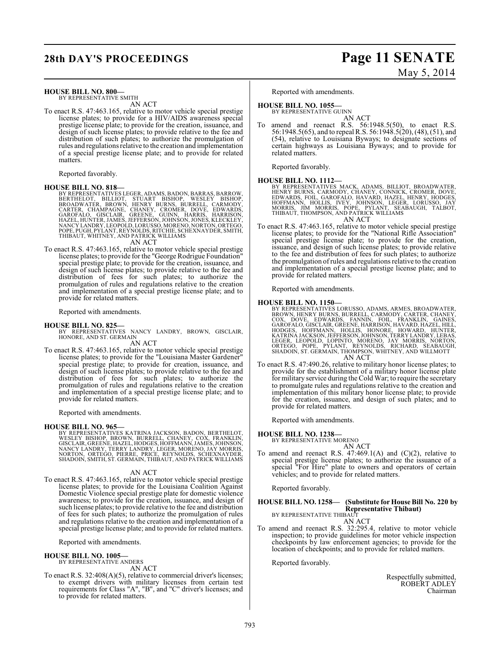### **28th DAY'S PROCEEDINGS Page 11 SENATE**

#### **HOUSE BILL NO. 800—**

BY REPRESENTATIVE SMITH AN ACT

To enact R.S. 47:463.165, relative to motor vehicle special prestige license plates; to provide for a HIV/AIDS awareness special prestige license plate; to provide for the creation, issuance, and design of such license plates; to provide relative to the fee and distribution of such plates; to authorize the promulgation of rules and regulations relative to the creation and implementation of a special prestige license plate; and to provide for related matters.

Reported favorably.

HOUSE BILL NO. 818—<br>
BY REPRESENTATIVES LEGER, ADAMS, BADON, BARRAS, BARROW,<br>
BERTHELOT, BILLIOT, STUART BISHOP, WESLEY BISHOP,<br>
BROADWATER, BROWN, HENRY BURNS, BURRELL, CARMODY,<br>
CARTER, CHAMPAGNE, CHANEY, GROMER, DOVE, E

AN ACT

To enact R.S. 47:463.165, relative to motor vehicle special prestige license plates; to provide for the "George Rodrigue Foundation" special prestige plate; to provide for the creation, issuance, and design of such license plates; to provide relative to the fee and distribution of fees for such plates; to authorize the promulgation of rules and regulations relative to the creation and implementation of a special prestige license plate; and to provide for related matters.

Reported with amendments.

#### **HOUSE BILL NO. 825—**

BY REPRESENTATIVES NANCY LANDRY, BROWN, GISCLAIR, HONORE, AND ST. GERMAIN AN ACT

To enact R.S. 47:463.165, relative to motor vehicle special prestige license plates; to provide for the "Louisiana Master Gardener" special prestige plate; to provide for creation, issuance, and design of such license plates; to provide relative to the fee and distribution of fees for such plates; to authorize the promulgation of rules and regulations relative to the creation and implementation of a special prestige license plate; and to provide for related matters.

Reported with amendments.

#### **HOUSE BILL NO. 965—**

BY REPRESENTATIVES KATRINA JACKSON, BADON, BERTHELOT,<br>WESLEY BISHOP, BROWN, BURRELL, CHANEY, COX, FRANKLIN,<br>GISCLAIR,GREENE,HAZEL,HODGES,HOFFMANN,JAMES,JOHNSON,<br>NANCY LANDRY, TERRY LANDRY, LEGER, MORENO, JAY MORRIS,<br>NORTON

AN ACT

To enact R.S. 47:463.165, relative to motor vehicle special prestige license plates; to provide for the Louisiana Coalition Against Domestic Violence special prestige plate for domestic violence awareness; to provide for the creation, issuance, and design of such license plates; to provide relative to the fee and distribution of fees for such plates; to authorize the promulgation of rules and regulations relative to the creation and implementation of a special prestige license plate; and to provide for related matters.

Reported with amendments.

#### **HOUSE BILL NO. 1005—**

BY REPRESENTATIVE ANDERS

AN ACT

To enact R.S. 32:408(A)(5), relative to commercial driver's licenses; to exempt drivers with military licenses from certain test requirements for Class "A", "B", and "C" driver's licenses; and to provide for related matters.

# May 5, 2014

Reported with amendments.

### **HOUSE BILL NO. 1055—**

BY REPRESENTATIVE GUINN AN ACT

To amend and reenact R.S. 56:1948.5(50), to enact R.S. 56:1948.5(65), and to repeal R.S. 56:1948.5(20), (48), (51), and (54), relative to Louisiana Byways; to designate sections of certain highways as Louisiana Byways; and to provide for related matters.

Reported favorably.

**HOUSE BILL NO. 1112—**<br>BY REPRESENTATIVES MACK, ADAMS, BILLIOT, BROADWATER,<br>HENRY BURNS, CARMODY, CHANEY, CONNICK, CROMER, DOVE,<br>EDWARDS, FOIL, GAROFALO, HAVARD, HAZEL, HENRY, HODGES,<br>HOFFMANN, HOLLIS, IVEY, JOHNSON, LEGER AN ACT

To enact R.S. 47:463.165, relative to motor vehicle special prestige license plates; to provide for the "National Rifle Association" special prestige license plate; to provide for the creation, issuance, and design of such license plates; to provide relative to the fee and distribution of fees for such plates; to authorize the promulgation of rules and regulations relative to the creation and implementation of a special prestige license plate; and to provide for related matters.

Reported with amendments.

#### **HOUSE BILL NO. 1150—**

- BY REPRESENTATIVES LORUSSO, ADAMS, ARMES, BROADWATER,<br>BROWN, HENRY BURNS, BURRELL, CARMODY, CARTER, CHANEY,<br>COX, DOVE, EDWARDS, BURRELL, CARMODY, CARTER, CHANEY,<br>GAROFALO, GISCLAIR, GREENE, HARRISON, HAVARD, HAZEL, HILL,<br>H AN ACT
- To enact R.S. 47:490.26, relative to military honor license plates; to provide for the establishment of a military honor license plate for military service during theCold War; to require the secretary to promulgate rules and regulations relative to the creation and implementation of this military honor license plate; to provide for the creation, issuance, and design of such plates; and to provide for related matters.

Reported with amendments.

#### **HOUSE BILL NO. 1238—**

BY REPRESENTATIVE MORENO AN ACT

To amend and reenact R.S.  $47:469.1(A)$  and  $(C)(2)$ , relative to special prestige license plates; to authorize the issuance of a special "For Hire" plate to owners and operators of certain vehicles; and to provide for related matters.

Reported favorably.

#### **HOUSE BILL NO. 1258— (Substitute for House Bill No. 220 by Representative Thibaut)** BY REPRESENTATIVE THIBAUT

AN ACT To amend and reenact R.S. 32:295.4, relative to motor vehicle inspection; to provide guidelines for motor vehicle inspection checkpoints by law enforcement agencies; to provide for the location of checkpoints; and to provide for related matters.

Reported favorably.

Respectfully submitted, ROBERT ADLEY Chairman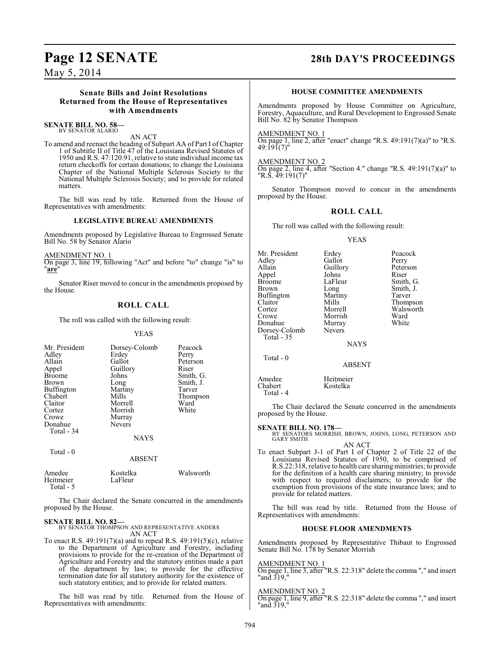### **Page 12 SENATE 28th DAY'S PROCEEDINGS**

May 5, 2014

#### **Senate Bills and Joint Resolutions Returned from the House of Representatives with Amendments**

**SENATE BILL NO. 58—** BY SENATOR ALARIO

AN ACT

To amend and reenact the heading of Subpart AA of Part I of Chapter 1 of Subtitle II of Title 47 of the Louisiana Revised Statutes of 1950 and R.S. 47:120.91, relative to state individual income tax return checkoffs for certain donations; to change the Louisiana Chapter of the National Multiple Sclerosis Society to the National Multiple Sclerosis Society; and to provide for related matters.

The bill was read by title. Returned from the House of Representatives with amendments:

### **LEGISLATIVE BUREAU AMENDMENTS**

Amendments proposed by Legislative Bureau to Engrossed Senate Bill No. 58 by Senator Alario

AMENDMENT NO. 1

On page 3, line 19, following "Act" and before "to" change "is" to "**are**"

Senator Riser moved to concur in the amendments proposed by the House.

### **ROLL CALL**

The roll was called with the following result:

YEAS

| Mr. President     | Dorsey-Colomb | Peacock   |
|-------------------|---------------|-----------|
| Adley             | Erdey         | Perry     |
| Allain            | Gallot        | Peterson  |
| Appel             | Guillory      | Riser     |
| <b>Broome</b>     | Johns         | Smith, G. |
| <b>Brown</b>      | Long          | Smith, J. |
| <b>Buffington</b> | Martiny       | Tarver    |
| Chabert           | Mills         | Thompson  |
| Claitor           | Morrell       | Ward      |
| Cortez            | Morrish       | White     |
| Crowe             | Murray        |           |
| Donahue           | <b>Nevers</b> |           |
| Total - 34        |               |           |
|                   | <b>NAYS</b>   |           |
| Total $-0$        |               |           |
|                   | <b>ABSENT</b> |           |

| Amedee<br>Heitmeier | Kostelka<br>LaFleur | Walsworth |
|---------------------|---------------------|-----------|
| Total - 5           |                     |           |

The Chair declared the Senate concurred in the amendments proposed by the House.

**SENATE BILL NO. 82—** BY SENATOR THOMPSON AND REPRESENTATIVE ANDERS AN ACT

To enact R.S. 49:191(7)(a) and to repeal R.S. 49:191(5)(c), relative to the Department of Agriculture and Forestry, including provisions to provide for the re-creation of the Department of Agriculture and Forestry and the statutory entities made a part of the department by law; to provide for the effective termination date for all statutory authority for the existence of such statutory entities; and to provide for related matters.

The bill was read by title. Returned from the House of Representatives with amendments:

#### **HOUSE COMMITTEE AMENDMENTS**

Amendments proposed by House Committee on Agriculture, Forestry, Aquaculture, and Rural Development to Engrossed Senate Bill No. 82 by Senator Thompson

AMENDMENT NO. 1

On page 1, line 2, after "enact" change "R.S.  $49:191(7)(a)$ " to "R.S.  $49:191(7)$ "

AMENDMENT NO. 2 On page 2, line 4, after "Section 4." change "R.S. 49:191(7)(a)" to "R.S. 49:191(7)"

Senator Thompson moved to concur in the amendments proposed by the House.

### **ROLL CALL**

The roll was called with the following result:

#### YEAS

| Mr. President<br>Adley<br>Allain<br>Appel<br><b>Broome</b><br>Brown<br><b>Buffington</b><br>Claitor<br>Cortez<br>Crowe<br>Donahue<br>Dorsey-Colomb<br>Total - 35 | Erdey<br>Gallot<br>Guillory<br>Johns<br>LaFleur<br>Long<br>Martiny<br>Mills<br>Morrell<br>Morrish<br>Murray<br>Nevers | Peacock<br>Perry<br>Peterson<br>Riser<br>Smith, G.<br>Smith, J.<br>Tarver<br>Thompson<br>Walsworth<br>Ward<br>White |
|------------------------------------------------------------------------------------------------------------------------------------------------------------------|-----------------------------------------------------------------------------------------------------------------------|---------------------------------------------------------------------------------------------------------------------|
|------------------------------------------------------------------------------------------------------------------------------------------------------------------|-----------------------------------------------------------------------------------------------------------------------|---------------------------------------------------------------------------------------------------------------------|

**NAYS** 

ABSENT

Total - 0

Chabert Total - 4

Amedee Heitmeier<br>Chabert Kostelka

The Chair declared the Senate concurred in the amendments proposed by the House.

**SENATE BILL NO. 178—** BY SENATORS MORRISH, BROWN, JOHNS, LONG, PETERSON AND GARY SMITH

AN ACT To enact Subpart J-1 of Part I of Chapter 2 of Title 22 of the Louisiana Revised Statutes of 1950, to be comprised of R.S.22:318, relative to health care sharing ministries; to provide for the definition of a health care sharing ministry; to provide with respect to required disclaimers; to provide for the exemption from provisions of the state insurance laws; and to provide for related matters.

The bill was read by title. Returned from the House of Representatives with amendments:

#### **HOUSE FLOOR AMENDMENTS**

Amendments proposed by Representative Thibaut to Engrossed Senate Bill No. 178 by Senator Morrish

AMENDMENT NO. 1

On page 1, line 3, after "R.S. 22:318" delete the comma "," and insert "and 319,"

AMENDMENT NO. 2

On page 1, line 9, after "R.S. 22:318" delete the comma "," and insert "and 319,"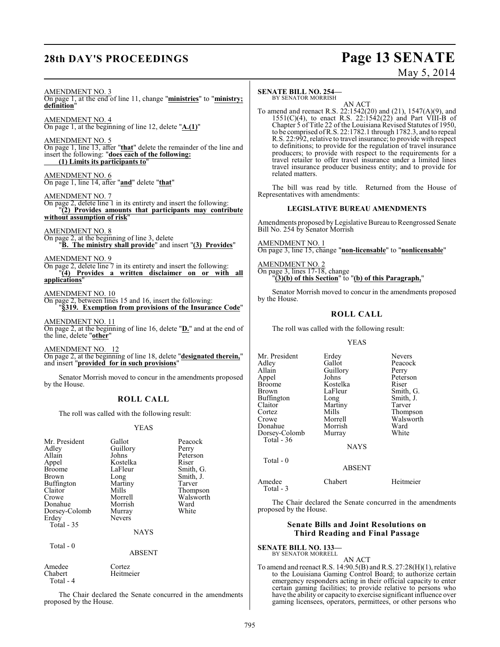# **28th DAY'S PROCEEDINGS Page 13 SENATE**

# May 5, 2014

#### AMENDMENT NO. 3

On page 1, at the end of line 11, change "**ministries**" to "**ministry; definition**"

AMENDMENT NO. 4 On page 1, at the beginning of line 12, delete "**A.(1)**"

AMENDMENT NO. 5 On page 1, line 13, after "**that**" delete the remainder of the line and insert the following: "**does each of the following: (1) Limits its participants to**"

AMENDMENT NO. 6 On page 1, line 14, after "**and**" delete "**that**"

AMENDMENT NO. 7

On page 2, delete line 1 in its entirety and insert the following: "**(2) Provides amounts that participants may contribute without assumption of risk**"

#### AMENDMENT NO. 8

On page 2, at the beginning of line 3, delete "**B. The ministry shall provide**" and insert "**(3) Provides**"

AMENDMENT NO. 9

On page 2, delete line 7 in its entirety and insert the following: "**(4) Provides a written disclaimer on or with all applications**"

#### AMENDMENT NO. 10

On page 2, between lines 15 and 16, insert the following: "**§319. Exemption from provisions of the Insurance Code**"

AMENDMENT NO. 11 On page 2, at the beginning of line 16, delete "**D.**" and at the end of the line, delete "**other**"

AMENDMENT NO. 12 On page 2, at the beginning of line 18, delete "**designated therein,**" and insert "**provided for in such provisions**"

Senator Morrish moved to concur in the amendments proposed by the House.

### **ROLL CALL**

The roll was called with the following result:

#### YEAS

| Mr. President<br>Adlev<br>Allain<br>Appel | Gallot<br>Guillory<br>Johns<br>Kostelka | Peacock<br>Perry<br>Peterson<br>Riser |
|-------------------------------------------|-----------------------------------------|---------------------------------------|
| Broome                                    | LaFleur                                 | Smith, G.                             |
| Brown                                     | Long                                    | Smith, J.                             |
| Buffington                                | Martiny                                 | Tarver                                |
| Claitor                                   | Mills                                   | Thompson                              |
| Crowe                                     | Morrell                                 | Walsworth                             |
| Donahue                                   | Morrish                                 | Ward                                  |
| Dorsey-Colomb                             | Murray                                  | White                                 |
| Erdey                                     | <b>Nevers</b>                           |                                       |
| Total - 35                                |                                         |                                       |

**NAYS** 

Total - 0

ABSENT

| Heitmeier |
|-----------|
|           |
|           |

The Chair declared the Senate concurred in the amendments proposed by the House.

#### **SENATE BILL NO. 254—** BY SENATOR MORRISH

AN ACT

To amend and reenact R.S. 22:1542(20) and (21), 1547(A)(9), and  $1551(C)(4)$ , to enact R.S. 22:1542(22) and Part VIII-B of Chapter 5 of Title 22 of the Louisiana Revised Statutes of 1950, to be comprised of R.S. 22:1782.1 through 1782.3, and to repeal R.S. 22:992, relative to travel insurance; to provide with respect to definitions; to provide for the regulation of travel insurance producers; to provide with respect to the requirements for a travel retailer to offer travel insurance under a limited lines travel insurance producer business entity; and to provide for related matters.

The bill was read by title. Returned from the House of Representatives with amendments:

#### **LEGISLATIVE BUREAU AMENDMENTS**

Amendments proposed by Legislative Bureau to Reengrossed Senate Bill No. 254 by Senator Morrish

AMENDMENT NO. 1 On page 3, line 15, change "**non-licensable**" to "**nonlicensable**"

AMENDMENT NO. 2 On page 3, lines 17-18, change "**(3)(b) of this Section**" to "**(b) of this Paragraph,**"

Senator Morrish moved to concur in the amendments proposed by the House.

#### **ROLL CALL**

The roll was called with the following result:

#### YEAS

| Mr. President<br>Adley<br>Allain<br>Appel<br><b>Broome</b><br>Brown<br>Buffington<br>Claitor<br>Cortez<br>Crowe<br>Donahue<br>Dorsey-Colomb<br>Total $-36$ | Erdey<br>Gallot<br>Guillory<br>Johns<br>Kostelka<br>LaFleur<br>Long<br>Martiny<br>Mills<br>Morrell<br>Morrish<br>Murray<br><b>NAYS</b> | <b>Nevers</b><br>Peacock<br>Perry<br>Peterson<br>Riser<br>Smith, G.<br>Smith, J.<br>Tarver<br>Thompson<br>Walsworth<br>Ward<br>White |
|------------------------------------------------------------------------------------------------------------------------------------------------------------|----------------------------------------------------------------------------------------------------------------------------------------|--------------------------------------------------------------------------------------------------------------------------------------|
|                                                                                                                                                            |                                                                                                                                        |                                                                                                                                      |
| Total - 0                                                                                                                                                  | <b>ABSENT</b>                                                                                                                          |                                                                                                                                      |
| Amedee                                                                                                                                                     | Chabert                                                                                                                                | Heitmeier                                                                                                                            |

The Chair declared the Senate concurred in the amendments proposed by the House.

### **Senate Bills and Joint Resolutions on Third Reading and Final Passage**

### **SENATE BILL NO. 133—**

Total - 3

BY SENATOR MORRELL

AN ACT To amend and reenact R.S. 14:90.5(B) and R.S. 27:28(H)(1), relative to the Louisiana Gaming Control Board; to authorize certain emergency responders acting in their official capacity to enter certain gaming facilities; to provide relative to persons who have the ability or capacity to exercise significant influence over gaming licensees, operators, permittees, or other persons who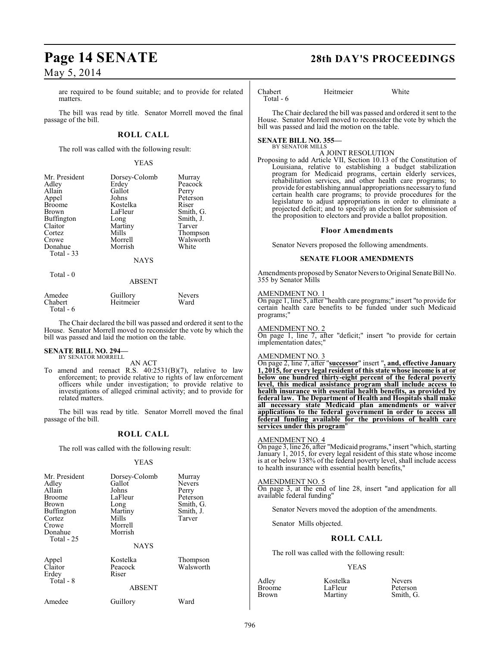are required to be found suitable; and to provide for related matters.

The bill was read by title. Senator Morrell moved the final passage of the bill.

### **ROLL CALL**

The roll was called with the following result:

#### YEAS

| Mr. President<br>Adley<br>Allain<br>Appel<br><b>Broome</b><br><b>Brown</b><br>Buffington<br>Claitor<br>Cortez<br>Crowe<br>Donahue<br>Total - 33 | Dorsey-Colomb<br>Erdey<br>Gallot<br>Johns<br>Kostelka<br>LaFleur<br>Long<br>Martiny<br>Mills<br>Morrell<br>Morrish | Murray<br>Peacock<br>Perry<br>Peterson<br>Riser<br>Smith, G.<br>Smith, J.<br>Tarver<br>Thompson<br>Walsworth<br>White |
|-------------------------------------------------------------------------------------------------------------------------------------------------|--------------------------------------------------------------------------------------------------------------------|-----------------------------------------------------------------------------------------------------------------------|
|                                                                                                                                                 | <b>NAYS</b>                                                                                                        |                                                                                                                       |
| Total - 0                                                                                                                                       |                                                                                                                    |                                                                                                                       |

# ABSENT

| Amedee    | Guillory  | <b>Nevers</b> |
|-----------|-----------|---------------|
| Chabert   | Heitmeier | Ward          |
| Total - 6 |           |               |

The Chair declared the bill was passed and ordered it sent to the House. Senator Morrell moved to reconsider the vote by which the bill was passed and laid the motion on the table.

#### **SENATE BILL NO. 294—** BY SENATOR MORRELL

AN ACT

To amend and reenact R.S.  $40:2531(B)(7)$ , relative to law enforcement; to provide relative to rights of law enforcement officers while under investigation; to provide relative to investigations of alleged criminal activity; and to provide for related matters.

The bill was read by title. Senator Morrell moved the final passage of the bill.

### **ROLL CALL**

The roll was called with the following result:

#### YEAS

| Mr. President<br>Adley<br>Allain<br><b>Broome</b><br>Brown<br><b>Buffington</b><br>Cortez<br>Crowe<br>Donahue | Dorsey-Colomb<br>Gallot<br>Johns<br>LaFleur<br>Long<br>Martiny<br>Mills<br>Morrell<br>Morrish | Murray<br>Nevers<br>Perry<br>Peterson<br>Smith, G.<br>Smith, J.<br>Tarver |
|---------------------------------------------------------------------------------------------------------------|-----------------------------------------------------------------------------------------------|---------------------------------------------------------------------------|
| Total $-25$                                                                                                   | <b>NAYS</b>                                                                                   |                                                                           |
| Appel<br>Claitor<br>Erdey<br>Total - 8                                                                        | Kostelka<br>Peacock<br>Riser                                                                  | Thompson<br>Walsworth                                                     |
|                                                                                                               | <b>ABSENT</b>                                                                                 |                                                                           |
| Amedee                                                                                                        | Guillory                                                                                      | Ward                                                                      |

# **Page 14 SENATE 28th DAY'S PROCEEDINGS**

Chabert Heitmeier White Total - 6

The Chair declared the bill was passed and ordered it sent to the House. Senator Morrell moved to reconsider the vote by which the bill was passed and laid the motion on the table.

#### **SENATE BILL NO. 355—** BY SENATOR MILLS

A JOINT RESOLUTION

Proposing to add Article VII, Section 10.13 of the Constitution of Louisiana, relative to establishing a budget stabilization program for Medicaid programs, certain elderly services, rehabilitation services, and other health care programs; to provide for establishing annual appropriations necessary to fund certain health care programs; to provide procedures for the legislature to adjust appropriations in order to eliminate a projected deficit; and to specify an election for submission of the proposition to electors and provide a ballot proposition.

#### **Floor Amendments**

Senator Nevers proposed the following amendments.

#### **SENATE FLOOR AMENDMENTS**

Amendments proposed by Senator Nevers to Original Senate Bill No. 355 by Senator Mills

#### AMENDMENT NO. 1

On page 1, line 5, after "health care programs;" insert "to provide for certain health care benefits to be funded under such Medicaid programs;"

#### AMENDMENT NO. 2

On page 1, line 7, after "deficit;" insert "to provide for certain implementation dates;"

#### AMENDMENT NO. 3

On page 2, line 7, after "**successor**" insert "**, and, effective January 1, 2015, for every legal resident of this state whose income is at or below one hundred thirty-eight percent of the federal poverty level, this medical assistance program shall include access to health insurance with essential health benefits, as provided by federal law. The Department of Health and Hospitals shall make all necessary state Medicaid plan amendments or waiver applications to the federal government in order to access all federal funding available for the provisions of health care services under this program**"

#### AMENDMENT NO. 4

On page 3, line 26, after "Medicaid programs," insert "which, starting January 1, 2015, for every legal resident of this state whose income is at or below 138% of the federal poverty level, shall include access to health insurance with essential health benefits,"

AMENDMENT NO. 5 On page 3, at the end of line 28, insert "and application for all available federal funding"

Senator Nevers moved the adoption of the amendments.

Senator Mills objected.

### **ROLL CALL**

The roll was called with the following result:

#### YEAS

| Adley         | Kostelka |
|---------------|----------|
| <b>Broome</b> | LaFleur  |
| <b>Brown</b>  | Martiny  |
|               |          |

Adley Kostelka Nevers Smith, G.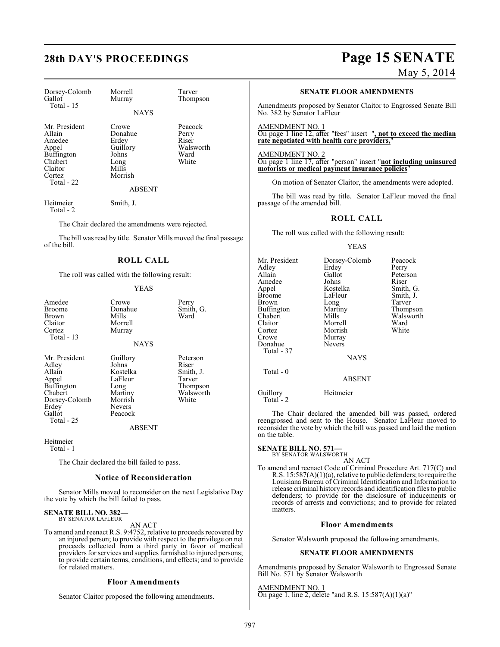# **28th DAY'S PROCEEDINGS Page 15 SENATE**

May 5, 2014

| Dorsey-Colomb<br>Gallot<br>Total $-15$                                                                        | Morrell<br>Murray                                                                           | Tarver<br>Thompson                                      |
|---------------------------------------------------------------------------------------------------------------|---------------------------------------------------------------------------------------------|---------------------------------------------------------|
|                                                                                                               | <b>NAYS</b>                                                                                 |                                                         |
| Mr. President<br>Allain<br>Amedee<br>Appel<br><b>Buffington</b><br>Chabert<br>Claitor<br>Cortez<br>Total - 22 | Crowe<br>Donahue<br>Erdey<br>Guillory<br>Johns<br>Long<br>Mills<br>Morrish<br><b>ABSENT</b> | Peacock<br>Perry<br>Riser<br>Walsworth<br>Ward<br>White |
| Heitmeier                                                                                                     | Smith, J.                                                                                   |                                                         |

Total - 2

The Chair declared the amendments were rejected.

The bill was read by title. Senator Mills moved the final passage of the bill.

#### **ROLL CALL**

The roll was called with the following result:

#### YEAS

| Amedee<br>Broome<br>Brown<br>Claitor<br>Cortez<br>Total - 13                                                         | Crowe<br>Donahue<br>Mills<br>Morrell<br>Murray<br><b>NAYS</b>                                      | Perry<br>Smith, G.<br>Ward                                                 |
|----------------------------------------------------------------------------------------------------------------------|----------------------------------------------------------------------------------------------------|----------------------------------------------------------------------------|
| Mr. President<br>Adlev<br>Allain<br>Appel<br>Buffington<br>Chabert<br>Dorsey-Colomb<br>Erdey<br>Gallot<br>Total - 25 | Guillory<br>Johns<br>Kostelka<br>LaFleur<br>Long<br>Martiny<br>Morrish<br><b>Nevers</b><br>Peacock | Peterson<br>Riser<br>Smith, J.<br>Tarver<br>Thompson<br>Walsworth<br>White |

ABSENT

Heitmeier Total - 1

The Chair declared the bill failed to pass.

#### **Notice of Reconsideration**

Senator Mills moved to reconsider on the next Legislative Day the vote by which the bill failed to pass.

#### **SENATE BILL NO. 382—** BY SENATOR LAFLEUR

AN ACT

To amend and reenact R.S. 9:4752, relative to proceeds recovered by an injured person; to provide with respect to the privilege on net proceeds collected from a third party in favor of medical providers for services and supplies furnished to injured persons; to provide certain terms, conditions, and effects; and to provide for related matters.

#### **Floor Amendments**

Senator Claitor proposed the following amendments.

#### **SENATE FLOOR AMENDMENTS**

Amendments proposed by Senator Claitor to Engrossed Senate Bill No. 382 by Senator LaFleur

AMENDMENT NO. 1 On page 1 line 12, after "fees" insert "**, not to exceed the median rate negotiated with health care providers,**"

AMENDMENT NO. 2 On page 1 line 17, after "person" insert "**not including uninsured motorists or medical payment insurance policies**"

On motion of Senator Claitor, the amendments were adopted.

The bill was read by title. Senator LaFleur moved the final passage of the amended bill.

### **ROLL CALL**

The roll was called with the following result:

#### YEAS

| Mr. President<br>Adley<br>Allain<br>Amedee<br>Appel<br>Broome<br>Brown<br>Buffington<br>Chabert<br>Claitor<br>Cortez<br>Crowe<br>Donahue<br>Total - 37 | Dorsey-Colomb<br>Erdey<br>Gallot<br>Johns<br>Kostelka<br>LaFleur<br>Long<br>Martiny<br>Mills<br>Morrell<br>Morrish<br>Murray<br><b>Nevers</b><br><b>NAYS</b> | Peacock<br>Perry<br>Peterson<br>Riser<br>Smith, G.<br>Smith, J.<br>Tarver<br>Thompson<br>Walsworth<br>Ward<br>White |
|--------------------------------------------------------------------------------------------------------------------------------------------------------|--------------------------------------------------------------------------------------------------------------------------------------------------------------|---------------------------------------------------------------------------------------------------------------------|
| Total - 0                                                                                                                                              | <b>ABSENT</b>                                                                                                                                                |                                                                                                                     |
| Guillory<br>Total $-2$                                                                                                                                 | Heitmeier                                                                                                                                                    |                                                                                                                     |

The Chair declared the amended bill was passed, ordered reengrossed and sent to the House. Senator LaFleur moved to reconsider the vote by which the bill was passed and laid the motion on the table.

### **SENATE BILL NO. 571—**

BY SENATOR WALSWORTH

AN ACT To amend and reenact Code of Criminal Procedure Art. 717(C) and R.S. 15:587(A)(1)(a), relative to public defenders; to require the Louisiana Bureau of Criminal Identification and Information to release criminal history records and identification files to public defenders; to provide for the disclosure of inducements or records of arrests and convictions; and to provide for related matters.

#### **Floor Amendments**

Senator Walsworth proposed the following amendments.

#### **SENATE FLOOR AMENDMENTS**

Amendments proposed by Senator Walsworth to Engrossed Senate Bill No. 571 by Senator Walsworth

#### AMENDMENT NO. 1

On page 1, line 2, delete "and R.S. 15:587(A)(1)(a)"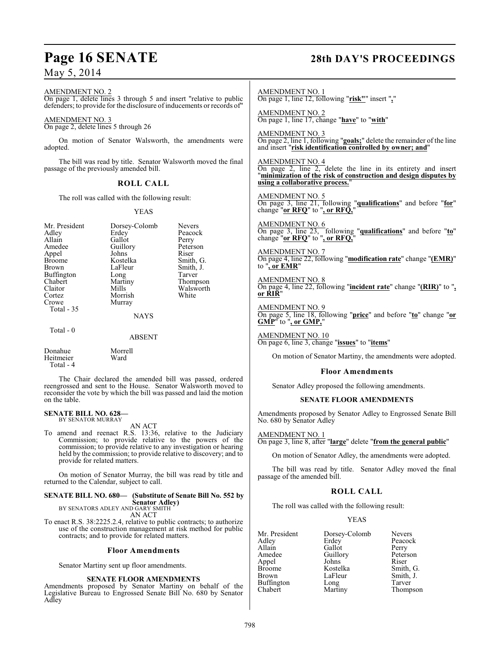# **Page 16 SENATE 28th DAY'S PROCEEDINGS**

May 5, 2014

AMENDMENT NO. 2 On page 1, delete lines 3 through 5 and insert "relative to public defenders; to provide for the disclosure of inducements or records of"

#### AMENDMENT NO. 3

On page 2, delete lines 5 through 26

On motion of Senator Walsworth, the amendments were adopted.

The bill was read by title. Senator Walsworth moved the final passage of the previously amended bill.

### **ROLL CALL**

The roll was called with the following result:

#### YEAS

| Mr. President<br>Adley<br>Allain<br>Amedee<br>Appel<br><b>Broome</b><br><b>Brown</b><br><b>Buffington</b><br>Chabert<br>Claitor<br>Cortez<br>Crowe<br>Total $-35$ | Dorsey-Colomb<br>Erdey<br>Gallot<br>Guillory<br>Johns<br>Kostelka<br>LaFleur<br>Long<br>Martiny<br>Mills<br>Morrish<br>Murray<br><b>NAYS</b> | <b>Nevers</b><br>Peacock<br>Perry<br>Peterson<br>Riser<br>Smith, G.<br>Smith, J.<br>Tarver<br>Thompson<br>Walsworth<br>White |
|-------------------------------------------------------------------------------------------------------------------------------------------------------------------|----------------------------------------------------------------------------------------------------------------------------------------------|------------------------------------------------------------------------------------------------------------------------------|
| Total $-0$                                                                                                                                                        | ABSENT                                                                                                                                       |                                                                                                                              |

Donahue Morrell<br>Heitmeier Ward Heitmeier Total - 4

The Chair declared the amended bill was passed, ordered reengrossed and sent to the House. Senator Walsworth moved to reconsider the vote by which the bill was passed and laid the motion on the table.

#### **SENATE BILL NO. 628—** BY SENATOR MURRAY

AN ACT

To amend and reenact R.S. 13:36, relative to the Judiciary Commission; to provide relative to the powers of the commission; to provide relative to any investigation or hearing held by the commission; to provide relative to discovery; and to provide for related matters.

On motion of Senator Murray, the bill was read by title and returned to the Calendar, subject to call.

#### **SENATE BILL NO. 680— (Substitute of Senate Bill No. 552 by Senator Adley)** BY SENATORS ADLEY AND GARY SMITH

AN ACT

To enact R.S. 38:2225.2.4, relative to public contracts; to authorize use of the construction management at risk method for public contracts; and to provide for related matters.

#### **Floor Amendments**

Senator Martiny sent up floor amendments.

#### **SENATE FLOOR AMENDMENTS**

Amendments proposed by Senator Martiny on behalf of the Legislative Bureau to Engrossed Senate Bill No. 680 by Senator Adley

AMENDMENT NO. 1 On page 1, line 12, following "**risk"**" insert "**,**"

AMENDMENT NO. 2 On page 1, line 17, change "**have**" to "**with**"

AMENDMENT NO. 3 On page 2, line 1, following "**goals;**" delete the remainder of the line and insert "**risk identification controlled by owner; and**"

AMENDMENT NO. 4 On page 2, line 2, delete the line in its entirety and insert "**minimization of the risk of construction and design disputes by using a collaborative process.**"

AMENDMENT NO. 5 On page 3, line 21, following "**qualifications**" and before "**for**" change "**or RFQ**" to "**, or RFQ,**"

AMENDMENT NO. 6 On page 3, line 23, following "**qualifications**" and before "**to**" change "**or RFQ**" to "**, or RFQ,**"

AMENDMENT NO. 7 On page 4, line 22, following "**modification rate**" change "**(EMR)**" to "**, or EMR**"

AMENDMENT NO. 8 On page 4, line 22, following "**incident rate**" change "**(RIR)**" to "**, or RIR**"

AMENDMENT NO. 9 On page 5, line 18, following "**price**" and before "**to**" change "**or GMP**" to "**, or GMP,**"

AMENDMENT NO. 10 On page 6, line 3, change "**issues**" to "**items**"

On motion of Senator Martiny, the amendments were adopted.

#### **Floor Amendments**

Senator Adley proposed the following amendments.

#### **SENATE FLOOR AMENDMENTS**

Amendments proposed by Senator Adley to Engrossed Senate Bill No. 680 by Senator Adley

AMENDMENT NO. 1 On page 3, line 8, after "**large**" delete "**from the general public**"

On motion of Senator Adley, the amendments were adopted.

The bill was read by title. Senator Adley moved the final passage of the amended bill.

#### **ROLL CALL**

The roll was called with the following result:

#### YEAS

| Mr. President | Dorsey-Colomb | <b>Nevers</b> |
|---------------|---------------|---------------|
| Adley         | Erdey         | Peacock       |
| Allain        | Gallot        | Perry         |
| Amedee        | Guillory      | Peterson      |
| Appel         | Johns         | Riser         |
| Broome        | Kostelka      | Smith, G.     |
| Brown         | LaFleur       | Smith, J.     |
| Buffington    | Long          | Tarver        |
| Chabert       | Martiny       | Thompson      |
|               |               |               |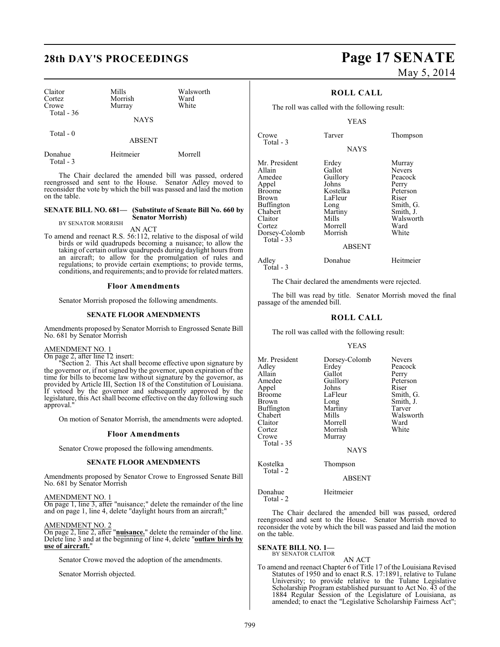| Claitor<br>Cortez<br>Crowe<br>Total $-36$ | Mills<br>Morrish<br>Murray | Walsworth<br>Ward<br>White |  |
|-------------------------------------------|----------------------------|----------------------------|--|
|                                           | <b>NAYS</b>                |                            |  |
| Total $-0$                                | <b>ABSENT</b>              |                            |  |

Donahue Heitmeier Morrell Total - 3

The Chair declared the amended bill was passed, ordered reengrossed and sent to the House. Senator Adley moved to reconsider the vote by which the bill was passed and laid the motion on the table.

#### **SENATE BILL NO. 681— (Substitute of Senate Bill No. 660 by Senator Morrish)**

BY SENATOR MORRISH AN ACT

To amend and reenact R.S. 56:112, relative to the disposal of wild birds or wild quadrupeds becoming a nuisance; to allow the taking of certain outlaw quadrupeds during daylight hours from an aircraft; to allow for the promulgation of rules and regulations; to provide certain exemptions; to provide terms, conditions, and requirements; and to provide for related matters.

#### **Floor Amendments**

Senator Morrish proposed the following amendments.

#### **SENATE FLOOR AMENDMENTS**

Amendments proposed by Senator Morrish to Engrossed Senate Bill No. 681 by Senator Morrish

#### AMENDMENT NO. 1

On page 2, after line 12 insert:

Section 2. This Act shall become effective upon signature by the governor or, if not signed by the governor, upon expiration of the time for bills to become law without signature by the governor, as provided by Article III, Section 18 of the Constitution of Louisiana. If vetoed by the governor and subsequently approved by the legislature, this Act shall become effective on the day following such approval.

On motion of Senator Morrish, the amendments were adopted.

#### **Floor Amendments**

Senator Crowe proposed the following amendments.

#### **SENATE FLOOR AMENDMENTS**

Amendments proposed by Senator Crowe to Engrossed Senate Bill No. 681 by Senator Morrish

AMENDMENT NO. 1

On page 1, line 3, after "nuisance;" delete the remainder of the line and on page 1, line 4, delete "daylight hours from an aircraft;"

#### AMENDMENT NO. 2

On page 2, line 2, after "**nuisance.**" delete the remainder of the line. Delete line 3 and at the beginning of line 4, delete "**outlaw birds by use of aircraft.**"

Senator Crowe moved the adoption of the amendments.

Senator Morrish objected.

# **28th DAY'S PROCEEDINGS Page 17 SENATE** May 5, 2014

#### **ROLL CALL**

The roll was called with the following result:

YEAS

| Crowe<br>Total - 3                                                                                                                                        | Tarver                                                                                                        | Thompson                                                                                                                 |
|-----------------------------------------------------------------------------------------------------------------------------------------------------------|---------------------------------------------------------------------------------------------------------------|--------------------------------------------------------------------------------------------------------------------------|
|                                                                                                                                                           | <b>NAYS</b>                                                                                                   |                                                                                                                          |
| Mr. President<br>Allain<br>Amedee<br>Appel<br><b>Broome</b><br><b>Brown</b><br>Buffington<br>Chabert<br>Claitor<br>Cortez<br>Dorsey-Colomb<br>Total $-33$ | Erdey<br>Gallot<br>Guillory<br>Johns<br>Kostelka<br>LaFleur<br>Long<br>Martiny<br>Mills<br>Morrell<br>Morrish | Murray<br><b>Nevers</b><br>Peacock<br>Perry<br>Peterson<br>Riser<br>Smith, G.<br>Smith, J.<br>Walsworth<br>Ward<br>White |
|                                                                                                                                                           | ABSENT                                                                                                        |                                                                                                                          |

#### Adley Donahue Heitmeier Total - 3

The Chair declared the amendments were rejected.

The bill was read by title. Senator Morrish moved the final passage of the amended bill.

#### **ROLL CALL**

The roll was called with the following result:

#### YEAS

| Mr. President<br>Adlev<br>Allain<br>Amedee<br>Appel<br>Broome<br>Brown | Dorsey-Colomb<br>Erdey<br>Gallot<br>Guillory<br>Johns<br>LaFleur<br>Long | <b>Nevers</b><br>Peacock<br>Perry<br>Peterson<br>Riser<br>Smith, G.<br>Smith, J. |
|------------------------------------------------------------------------|--------------------------------------------------------------------------|----------------------------------------------------------------------------------|
| Buffington<br>Chabert<br>Claitor<br>Cortez<br>Crowe<br>Total - 35      | Martiny<br>Mills<br>Morrell<br>Morrish<br>Murray                         | Tarver<br>Walsworth<br>Ward<br>White                                             |
| Kostelka<br>Total - 2                                                  | <b>NAYS</b><br>Thompson                                                  |                                                                                  |

ABSENT

Donahue Heitmeier Total - 2

The Chair declared the amended bill was passed, ordered reengrossed and sent to the House. Senator Morrish moved to reconsider the vote by which the bill was passed and laid the motion on the table.

### **SENATE BILL NO. 1—** BY SENATOR CLAITOR

AN ACT To amend and reenact Chapter 6 of Title 17 of the Louisiana Revised Statutes of 1950 and to enact R.S. 17:1891, relative to Tulane University; to provide relative to the Tulane Legislative Scholarship Program established pursuant to Act No. 43 of the 1884 Regular Session of the Legislature of Louisiana, as amended; to enact the "Legislative Scholarship Fairness Act";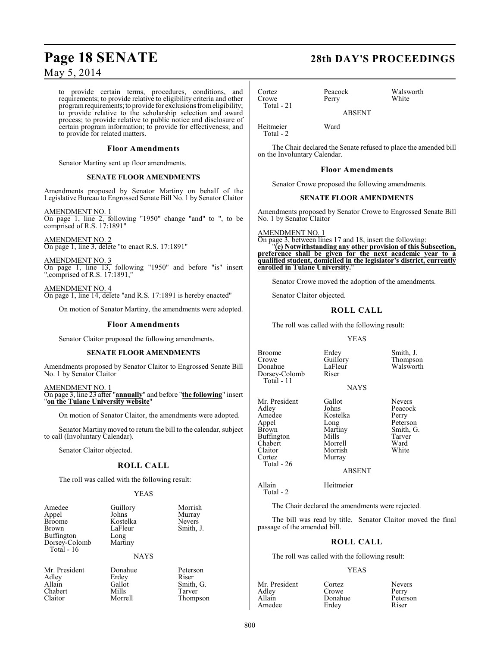to provide certain terms, procedures, conditions, and requirements; to provide relative to eligibility criteria and other program requirements; to provide for exclusions from eligibility; to provide relative to the scholarship selection and award process; to provide relative to public notice and disclosure of certain program information; to provide for effectiveness; and to provide for related matters.

#### **Floor Amendments**

Senator Martiny sent up floor amendments.

#### **SENATE FLOOR AMENDMENTS**

Amendments proposed by Senator Martiny on behalf of the Legislative Bureau to Engrossed Senate Bill No. 1 by Senator Claitor

AMENDMENT NO. 1 On page 1, line 2, following "1950" change "and" to ", to be comprised of R.S. 17:1891"

AMENDMENT NO. 2 On page 1, line 3, delete "to enact R.S. 17:1891"

AMENDMENT NO. 3 On page 1, line 13, following "1950" and before "is" insert ",comprised of R.S. 17:1891,"

AMENDMENT NO. 4 On page 1, line 14, delete "and R.S. 17:1891 is hereby enacted"

On motion of Senator Martiny, the amendments were adopted.

#### **Floor Amendments**

Senator Claitor proposed the following amendments.

#### **SENATE FLOOR AMENDMENTS**

Amendments proposed by Senator Claitor to Engrossed Senate Bill No. 1 by Senator Claitor

AMENDMENT NO. 1 On page 3, line 23 after "**annually**" and before "**the following**" insert "**on the Tulane University website**"

On motion of Senator Claitor, the amendments were adopted.

Senator Martiny moved to return the bill to the calendar, subject to call (Involuntary Calendar).

Senator Claitor objected.

### **ROLL CALL**

The roll was called with the following result:

#### YEAS

| Amedee                      | Guillory    | Morrish       |
|-----------------------------|-------------|---------------|
| Appel                       | Johns       | Murray        |
| <b>Broome</b>               | Kostelka    | <b>Nevers</b> |
| Brown                       | LaFleur     | Smith, J.     |
| Buffington                  | Long        |               |
| Dorsey-Colomb<br>Total - 16 | Martiny     |               |
|                             |             |               |
|                             | <b>NAYS</b> |               |

Mr. President Donahue Peterson<br>Adley Erdey Riser Adley Erdey<br>Allain Gallot Chabert Mills<br>Claitor Morrell

Gallot Smith, G.<br>Mills Tarver

Thompson

### **Page 18 SENATE 28th DAY'S PROCEEDINGS**

Cortez Peacock Walsworth Crowe Total - 21

ABSENT

Heitmeier Ward Total - 2

The Chair declared the Senate refused to place the amended bill on the Involuntary Calendar.

#### **Floor Amendments**

Senator Crowe proposed the following amendments.

#### **SENATE FLOOR AMENDMENTS**

Amendments proposed by Senator Crowe to Engrossed Senate Bill No. 1 by Senator Claitor

AMENDMENT NO. 1 On page 3, between lines 17 and 18, insert the following: "**(e) Notwithstanding any other provision of this Subsection, preference shall be given for the next academic year to a qualified student, domiciled in the legislator's district, currently enrolled in Tulane University.**"

Senator Crowe moved the adoption of the amendments.

Senator Claitor objected.

#### **ROLL CALL**

The roll was called with the following result:

#### YEAS

Broome Erdey Smith, J.<br>Crowe Guillory Thompso Crowe Guillory Thompson<br>
Donahue LaFleur Walsworth Dorsey-Colomb Total - 11

LaFleur Walsworth<br>Riser

NAYS

Mr. President Gallot Nevers<br>Adley Johns Peacocl Adley Johns Peacock<br>Amedee Kostelka Perry Amedee Kostelka<br>Appel Long Appel Long Deterson<br>
Brown Martiny Smith, G Buffington Mills Tarve<br>
Chabert Morrell Ward Chabert Morrell Ward Claitor Morrish<br>Cortez Murray

Total - 26

Total - 2

Martiny Smith, G.<br>Mills Tarver Murray

ABSENT

### Allain Heitmeier

The Chair declared the amendments were rejected.

The bill was read by title. Senator Claitor moved the final passage of the amended bill.

### **ROLL CALL**

The roll was called with the following result:

#### YEAS

| Mr. President | Cortez  | <b>Nevers</b> |
|---------------|---------|---------------|
| Adley         | Crowe   | Perry         |
| Allain        | Donahue | Peterson      |
| Amedee        | Erdey   | Riser         |

Donahue Peters<br>Erdey Riser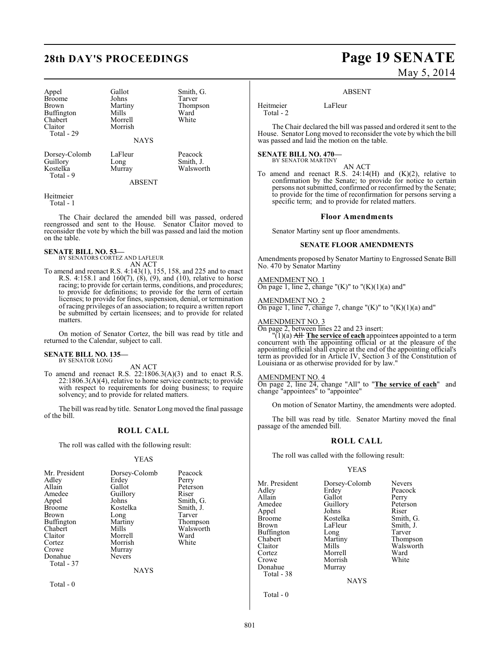Appel Gallot Smith, G. Broome Johns<br>Brown Martiny Buffington Mills Ward<br>Chabert Morrell White Chabert Morrell<br>Claitor Morrish Total - 29

Martiny Thompson<br>
Mills Ward Morrish

Dorsey-Colomb LaFleur Peacock<br>Guillory Long Smith, J Guillory Long Smith, J.<br>
Kostelka Murray Walswor

**NAYS** 

ABSENT

Walsworth

Heitmeier Total - 1

Total - 9

The Chair declared the amended bill was passed, ordered reengrossed and sent to the House. Senator Claitor moved to reconsider the vote by which the bill was passed and laid the motion on the table.

#### **SENATE BILL NO. 53—** BY SENATORS CORTEZ AND LAFLEUR

AN ACT

To amend and reenact R.S. 4:143(1), 155, 158, and 225 and to enact R.S. 4:158.1 and  $160(7)$ ,  $(8)$ ,  $(9)$ , and  $(10)$ , relative to horse racing; to provide for certain terms, conditions, and procedures; to provide for definitions; to provide for the term of certain licenses; to provide for fines, suspension, denial, or termination of racing privileges of an association; to require a written report be submitted by certain licensees; and to provide for related matters.

On motion of Senator Cortez, the bill was read by title and returned to the Calendar, subject to call.

### **SENATE BILL NO. 135—** BY SENATOR LONG

AN ACT

To amend and reenact R.S. 22:1806.3(A)(3) and to enact R.S. 22:1806.3(A)(4), relative to home service contracts; to provide with respect to requirements for doing business; to require solvency; and to provide for related matters.

The bill was read by title. Senator Long moved the final passage of the bill.

#### **ROLL CALL**

The roll was called with the following result:

#### YEAS

| Mr. President<br>Adley<br>Allain<br>Amedee<br>Appel<br><b>Broome</b><br><b>Brown</b><br>Buffington<br>Chabert<br>Claitor<br>Cortez<br>Crowe<br>Donahue<br>Total - 37 | Dorsey-Colomb<br>Erdey<br>Gallot<br>Guillory<br>Johns<br>Kostelka<br>Long<br>Martiny<br>Mills<br>Morrell<br>Morrish<br>Murray<br><b>Nevers</b><br><b>NAYS</b> | Peacock<br>Perry<br>Peterson<br>Riser<br>Smith, G.<br>Smith, J.<br>Tarver<br>Thompson<br>Walsworth<br>Ward<br>White |
|----------------------------------------------------------------------------------------------------------------------------------------------------------------------|---------------------------------------------------------------------------------------------------------------------------------------------------------------|---------------------------------------------------------------------------------------------------------------------|
|                                                                                                                                                                      |                                                                                                                                                               |                                                                                                                     |

Total - 0

**28th DAY'S PROCEEDINGS Page 19 SENATE** May 5, 2014

#### ABSENT

Heitmeier LaFleur Total - 2

The Chair declared the bill was passed and ordered it sent to the House. Senator Long moved to reconsider the vote by which the bill

#### **SENATE BILL NO. 470—** BY SENATOR MARTINY

was passed and laid the motion on the table.

AN ACT

To amend and reenact R.S.  $24:14(H)$  and  $(K)(2)$ , relative to confirmation by the Senate; to provide for notice to certain persons not submitted, confirmed or reconfirmed by the Senate; to provide for the time of reconfirmation for persons serving a specific term; and to provide for related matters.

#### **Floor Amendments**

Senator Martiny sent up floor amendments.

#### **SENATE FLOOR AMENDMENTS**

Amendments proposed by Senator Martiny to Engrossed Senate Bill No. 470 by Senator Martiny

AMENDMENT NO. 1 On page 1, line 2, change " $(K)$ " to " $(K)(1)(a)$  and"

AMENDMENT NO. 2 On page 1, line 7, change 7, change " $(K)$ " to " $(K)(1)(a)$  and"

AMENDMENT NO. 3

On page 2, between lines 22 and 23 insert:

"(1)(a) All **The service of each** appointees appointed to a term concurrent with the appointing official or at the pleasure of the appointing official shall expire at the end of the appointing official's term as provided for in Article IV, Section 3 of the Constitution of Louisiana or as otherwise provided for by law."

#### AMENDMENT NO. 4

On page 2, line 24, change "All" to "**The service of each**" and change "appointees" to "appointee"

On motion of Senator Martiny, the amendments were adopted.

The bill was read by title. Senator Martiny moved the final passage of the amended bill.

#### **ROLL CALL**

The roll was called with the following result:

#### YEAS

| Mr. President | Dorsey-Colomb | <b>Nevers</b> |
|---------------|---------------|---------------|
| Adley         | Erdey         | Peacock       |
| Allain        | Gallot        | Perry         |
| Amedee        | Guillory      | Peterson      |
| Appel         | Johns         | Riser         |
| Broome        | Kostelka      | Smith, G.     |
| Brown         | LaFleur       | Smith, J.     |
| Buffington    | Long          | Tarver        |
| Chabert       | Martiny       | Thompson      |
| Claitor       | Mills         | Walsworth     |
| Cortez        | Morrell       | Ward          |
| Crowe         | Morrish       | White         |
| Donahue       | Murray        |               |
| Total - 38    |               |               |
|               | NAYS          |               |

Total - 0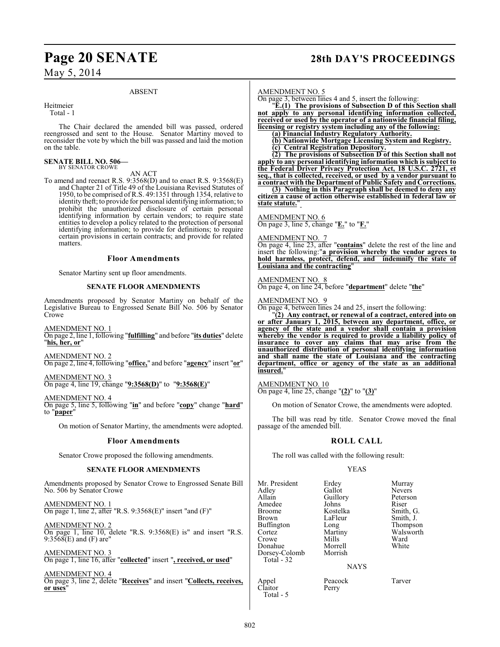#### ABSENT

Heitmeier

Total - 1

The Chair declared the amended bill was passed, ordered reengrossed and sent to the House. Senator Martiny moved to reconsider the vote by which the bill was passed and laid the motion on the table.

#### **SENATE BILL NO. 506—** BY SENATOR CROWE

AN ACT

To amend and reenact R.S. 9:3568(D) and to enact R.S. 9:3568(E) and Chapter 21 of Title 49 of the Louisiana Revised Statutes of 1950, to be comprised of R.S. 49:1351 through 1354, relative to identity theft; to provide for personal identifying information; to prohibit the unauthorized disclosure of certain personal identifying information by certain vendors; to require state entities to develop a policy related to the protection of personal identifying information; to provide for definitions; to require certain provisions in certain contracts; and provide for related matters.

#### **Floor Amendments**

Senator Martiny sent up floor amendments.

#### **SENATE FLOOR AMENDMENTS**

Amendments proposed by Senator Martiny on behalf of the Legislative Bureau to Engrossed Senate Bill No. 506 by Senator Crowe

AMENDMENT NO. 1 On page 2, line 1, following "**fulfilling**" and before "**its duties**" delete "**his, her, or**"

AMENDMENT NO. 2 On page 2, line 4, following "**office,**" and before "**agency**" insert "**or**"

AMENDMENT NO. 3 On page 4, line 19, change "**9:3568(D)**" to "**9:3568(E)**"

AMENDMENT NO. 4

On page 5, line 5, following "**in**" and before "**copy**" change "**hard**" to "**paper**"

On motion of Senator Martiny, the amendments were adopted.

#### **Floor Amendments**

Senator Crowe proposed the following amendments.

#### **SENATE FLOOR AMENDMENTS**

Amendments proposed by Senator Crowe to Engrossed Senate Bill No. 506 by Senator Crowe

AMENDMENT NO. 1 On page 1, line 2, after "R.S. 9:3568(E)" insert "and (F)"

AMENDMENT NO. 2 On page 1, line 10, delete "R.S. 9:3568(E) is" and insert "R.S. 9:3568(E) and (F) are"

AMENDMENT NO. 3 On page 1, line 16, after "**collected**" insert "**, received, or used**"

AMENDMENT NO. 4 On page 3, line 2, delete "**Receives**" and insert "**Collects, receives, or uses**"

### **Page 20 SENATE 28th DAY'S PROCEEDINGS**

#### AMENDMENT NO. 5

On page 3, between lines 4 and 5, insert the following:

"**E.(1) The provisions of Subsection D of this Section shall not apply to any personal identifying information collected, received or used by the operator of a nationwide financial filing, licensing or registry system including any of the following:**

**(a) Financial Industry Regulatory Authority.**

**(b) Nationwide Mortgage Licensing System and Registry.**

**(c) Central Registration Depository.**

**(2) The provisions of Subsection D of this Section shall not apply to any personal identifying information which is subject to the Federal Driver Privacy Protection Act, 18 U.S.C. 2721, et seq., that is collected, received, or used by a vendor pursuant to a contract with the Department of Public Safety and Corrections.**

**(3) Nothing in this Paragraph shall be deemed to deny any citizen a cause of action otherwise established in federal law or state statute.**"

AMENDMENT NO. 6

On page 3, line 5, change "**E.**" to "**F.**"

AMENDMENT NO. 7

On page 4, line 23, after "**contains**" delete the rest of the line and insert the following:"**a provision whereby the vendor agrees to hold harmless, protect, defend, and indemnify the state of Louisiana and the contracting**"

AMENDMENT NO. 8 On page 4, on line 24, before "**department**" delete "**the**"

AMENDMENT NO. 9

On page 4, between lines 24 and 25, insert the following:

"**(2) Any contract, or renewal of a contract, entered into on or after January 1, 2015, between any department, office, or agency of the state and a vendor shall contain a provision whereby the vendor is required to provide a liability policy of insurance to cover any claims that may arise from the unauthorized distribution of personal identifying information and shall name the state of Louisiana and the contracting department, office or agency of the state as an additional insured.**"

#### AMENDMENT NO. 10

On page 4, line 25, change "**(2)**" to "**(3)**"

On motion of Senator Crowe, the amendments were adopted.

The bill was read by title. Senator Crowe moved the final passage of the amended bill.

#### **ROLL CALL**

The roll was called with the following result:

#### YEAS

Mr. President Erdey Murray<br>Adley Gallot Nevers Adley Gallot Nevers<br>Allain Guillory Peterson Amedee Johns<br>Broome Kostelka Broome Kostelka Smith, G. Buffington Long<br>Cortez Martiny Crowe Mills Ward<br>
Donahue Morrell White Morrell<br>Morrish Dorsey-Colomb Total - 32 Appel Peacock Tarver<br>Claitor Perry Claitor

Total - 5

Guillory Peters<br>Johns Riser LaFleur Smith, J.<br>
Long Thompson Martiny Walsworth<br>
Mills Ward

NAYS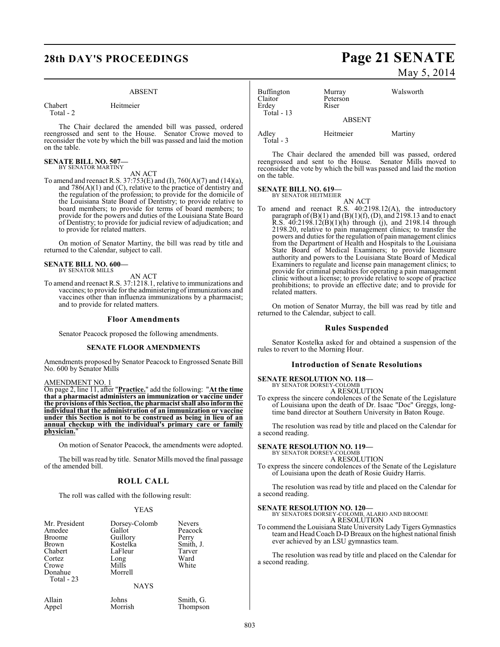#### ABSENT

Chabert Heitmeier Total - 2

The Chair declared the amended bill was passed, ordered reengrossed and sent to the House. Senator Crowe moved to reconsider the vote by which the bill was passed and laid the motion on the table.

#### **SENATE BILL NO. 507—** BY SENATOR MARTINY

AN ACT

To amend and reenact R.S. 37:753(E) and (I), 760(A)(7) and (14)(a), and 786(A)(1) and (C), relative to the practice of dentistry and the regulation of the profession; to provide for the domicile of the Louisiana State Board of Dentistry; to provide relative to board members; to provide for terms of board members; to provide for the powers and duties of the Louisiana State Board of Dentistry; to provide for judicial review of adjudication; and to provide for related matters.

On motion of Senator Martiny, the bill was read by title and returned to the Calendar, subject to call.

# **SENATE BILL NO. 600—** BY SENATOR MILLS

AN ACT

To amend and reenact R.S. 37:1218.1, relative to immunizations and vaccines; to provide for the administering of immunizations and vaccines other than influenza immunizations by a pharmacist; and to provide for related matters.

#### **Floor Amendments**

Senator Peacock proposed the following amendments.

#### **SENATE FLOOR AMENDMENTS**

Amendments proposed by Senator Peacock to Engrossed Senate Bill No. 600 by Senator Mills

#### AMENDMENT NO. 1

On page 2, line 11, after "**Practice.**" add the following: "**At the time that a pharmacist administers an immunization or vaccine under the provisions of this Section, the pharmacistshall also inform the individual that the administration of an immunization or vaccine under this Section is not to be construed as being in lieu of an annual checkup with the individual's primary care or family physician.**"

On motion of Senator Peacock, the amendments were adopted.

The bill was read by title. Senator Mills moved the final passage of the amended bill.

### **ROLL CALL**

The roll was called with the following result:

#### YEAS

| Mr. President<br>Amedee<br><b>Broome</b><br><b>Brown</b><br>Chabert<br>Cortez<br>Crowe<br>Donahue<br>Total $-23$ | Dorsey-Colomb<br>Gallot<br>Guillory<br>Kostelka<br>LaFleur<br>Long<br>Mills<br>Morrell | Nevers<br>Peacock<br>Perry<br>Smith, J.<br>Tarver<br>Ward<br>White |
|------------------------------------------------------------------------------------------------------------------|----------------------------------------------------------------------------------------|--------------------------------------------------------------------|
|                                                                                                                  | <b>NAYS</b>                                                                            |                                                                    |

Allain Johns Smith, G.<br>Appel Morrish Thompson

## **28th DAY'S PROCEEDINGS Page 21 SENATE** May 5, 2014

Buffington Murray Walsworth Peterson<br>Riser Erdey Total - 13 ABSENT Adley Heitmeier Martiny Total - 3

The Chair declared the amended bill was passed, ordered reengrossed and sent to the House. Senator Mills moved to reconsider the vote by which the bill was passed and laid the motion on the table.

#### **SENATE BILL NO. 619—**

BY SENATOR HEITMEIER

AN ACT To amend and reenact R.S. 40:2198.12(A), the introductory paragraph of  $(B)(1)$  and  $(B)(1)(f)$ ,  $(D)$ , and 2198.13 and to enact R.S. 40:2198.12(B)(1)(h) through (j), and 2198.14 through 2198.20, relative to pain management clinics; to transfer the powers and duties for the regulation of pain management clinics from the Department of Health and Hospitals to the Louisiana State Board of Medical Examiners; to provide licensure authority and powers to the Louisiana State Board of Medical Examiners to regulate and license pain management clinics; to provide for criminal penalties for operating a pain management clinic without a license; to provide relative to scope of practice prohibitions; to provide an effective date; and to provide for related matters.

On motion of Senator Murray, the bill was read by title and returned to the Calendar, subject to call.

#### **Rules Suspended**

Senator Kostelka asked for and obtained a suspension of the rules to revert to the Morning Hour.

#### **Introduction of Senate Resolutions**

**SENATE RESOLUTION NO. 118—**

BY SENATOR DORSEY-COLOMB

A RESOLUTION To express the sincere condolences of the Senate of the Legislature of Louisiana upon the death of Dr. Isaac "Doc" Greggs, longtime band director at Southern University in Baton Rouge.

The resolution was read by title and placed on the Calendar for a second reading.

#### **SENATE RESOLUTION NO. 119—**

BY SENATOR DORSEY-COLOMB A RESOLUTION

To express the sincere condolences of the Senate of the Legislature of Louisiana upon the death of Rosie Guidry Harris.

The resolution was read by title and placed on the Calendar for a second reading.

**SENATE RESOLUTION NO. 120—** BY SENATORS DORSEY-COLOMB, ALARIO AND BROOME A RESOLUTION

To commend the Louisiana State UniversityLady Tigers Gymnastics team and Head Coach D-D Breaux on the highest national finish ever achieved by an LSU gymnastics team.

The resolution was read by title and placed on the Calendar for a second reading.

Thompson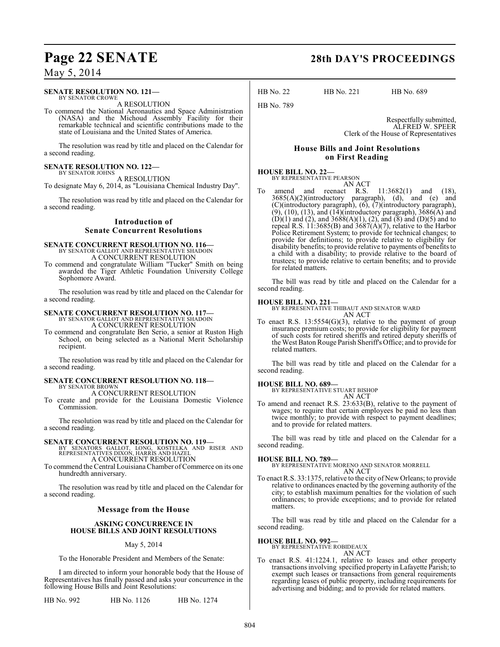#### **SENATE RESOLUTION NO. 121—** BY SENATOR CROWE

A RESOLUTION

To commend the National Aeronautics and Space Administration (NASA) and the Michoud Assembly Facility for their remarkable technical and scientific contributions made to the state of Louisiana and the United States of America.

The resolution was read by title and placed on the Calendar for a second reading.

#### **SENATE RESOLUTION NO. 122—**

BY SENATOR JOHNS A RESOLUTION

To designate May 6, 2014, as "Louisiana Chemical Industry Day".

The resolution was read by title and placed on the Calendar for a second reading.

### **Introduction of Senate Concurrent Resolutions**

#### **SENATE CONCURRENT RESOLUTION NO. 116—**

BY SENATOR GALLOT AND REPRESENTATIVE SHADOIN A CONCURRENT RESOLUTION

To commend and congratulate William "Tucker" Smith on being awarded the Tiger Athletic Foundation University College Sophomore Award.

The resolution was read by title and placed on the Calendar for a second reading.

# **SENATE CONCURRENT RESOLUTION NO. 117—**<br>BY SENATOR GALLOT AND REPRESENTATIVE SHADOIN

A CONCURRENT RESOLUTION

To commend and congratulate Ben Serio, a senior at Ruston High School, on being selected as a National Merit Scholarship recipient.

The resolution was read by title and placed on the Calendar for a second reading.

#### **SENATE CONCURRENT RESOLUTION NO. 118—** BY SENATOR BROWN A CONCURRENT RESOLUTION

To create and provide for the Louisiana Domestic Violence Commission.

The resolution was read by title and placed on the Calendar for a second reading.

#### **SENATE CONCURRENT RESOLUTION NO. 119—**

BY SENATORS GALLOT, LONG, KOSTELKA AND RISER AND REPRESENTATIVES DIXON, HARRIS AND HAZEL

A CONCURRENT RESOLUTION

To commend the Central Louisiana Chamber of Commerce on its one hundredth anniversary.

The resolution was read by title and placed on the Calendar for a second reading.

#### **Message from the House**

#### **ASKING CONCURRENCE IN HOUSE BILLS AND JOINT RESOLUTIONS**

#### May 5, 2014

To the Honorable President and Members of the Senate:

I am directed to inform your honorable body that the House of Representatives has finally passed and asks your concurrence in the following House Bills and Joint Resolutions:

HB No. 992 HB No. 1126 HB No. 1274

### **Page 22 SENATE 28th DAY'S PROCEEDINGS**

HB No. 22 HB No. 221 HB No. 689

Respectfully submitted, ALFRED W. SPEER Clerk of the House of Representatives

#### **House Bills and Joint Resolutions on First Reading**

#### **HOUSE BILL NO. 22—** BY REPRESENTATIVE PEARSON AN ACT

HB No. 789

To amend and reenact R.S. 11:3682(1) and (18), 3685(A)(2)(introductory paragraph), (d), and (e) and (C)(introductory paragraph), (6), (7)(introductory paragraph),  $(9)$ ,  $(10)$ ,  $(13)$ , and  $(14)$ (introductory paragraph),  $3686(A)$  and  $(D)(1)$  and  $(2)$ , and  $3688(A)(1)$ ,  $(2)$ , and  $(8)$  and  $(D)(5)$  and to repeal R.S. 11:3685(B) and 3687(A)(7), relative to the Harbor Police Retirement System; to provide for technical changes; to provide for definitions; to provide relative to eligibility for disability benefits; to provide relative to payments of benefits to a child with a disability; to provide relative to the board of trustees; to provide relative to certain benefits; and to provide for related matters.

The bill was read by title and placed on the Calendar for a second reading.

**HOUSE BILL NO. 221—** BY REPRESENTATIVE THIBAUT AND SENATOR WARD AN ACT

To enact R.S. 13:5554(G)(3), relative to the payment of group insurance premium costs; to provide for eligibility for payment of such costs for retired sheriffs and retired deputy sheriffs of the West Baton Rouge Parish Sheriff's Office; and to provide for related matters.

The bill was read by title and placed on the Calendar for a second reading.

#### **HOUSE BILL NO. 689—**

BY REPRESENTATIVE STUART BISHOP AN ACT

To amend and reenact R.S. 23:633(B), relative to the payment of wages; to require that certain employees be paid no less than twice monthly; to provide with respect to payment deadlines; and to provide for related matters.

The bill was read by title and placed on the Calendar for a second reading.

#### **HOUSE BILL NO. 789—**

BY REPRESENTATIVE MORENO AND SENATOR MORRELL AN ACT

To enact R.S. 33:1375, relative to the city of New Orleans; to provide relative to ordinances enacted by the governing authority of the city; to establish maximum penalties for the violation of such ordinances; to provide exceptions; and to provide for related matters.

The bill was read by title and placed on the Calendar for a second reading.

#### **HOUSE BILL NO. 992—**

BY REPRESENTATIVE ROBIDEAUX AN ACT

To enact R.S. 41:1224.1, relative to leases and other property transactions involving specified property in Lafayette Parish; to exempt such leases or transactions from general requirements regarding leases of public property, including requirements for advertising and bidding; and to provide for related matters.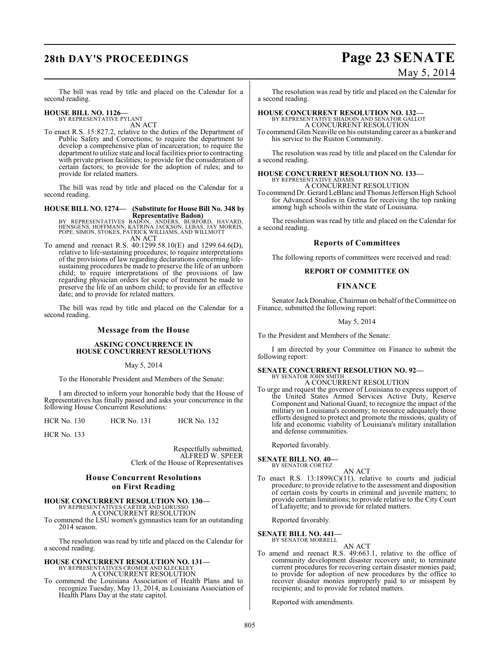# **28th DAY'S PROCEEDINGS Page 23 SENATE**

# May 5, 2014

The bill was read by title and placed on the Calendar for a second reading.

### **HOUSE BILL NO. 1126—** BY REPRESENTATIVE PYLANT

AN ACT

To enact R.S. 15:827.2, relative to the duties of the Department of Public Safety and Corrections; to require the department to develop a comprehensive plan of incarceration; to require the department to utilize state and local facilities prior to contracting with private prison facilities; to provide for the consideration of certain factors; to provide for the adoption of rules; and to provide for related matters.

The bill was read by title and placed on the Calendar for a second reading.

**HOUSE BILL NO. 1274— (Substitute for House Bill No. 348 by**

**Representative Badon)** BY REPRESENTATIVES BADON, ANDERS, BURFORD, HAVARD, HENSGENS, HOFFMANN, KATRINA JACKSON, LEBAS, JAY MORRIS, POPE, SIMON, STOKES, PATRICK WILLIAMS, AND WILLMOTT AN ACT

To amend and reenact R.S. 40:1299.58.10(E) and 1299.64.6(D), relative to life-sustaining procedures; to require interpretations of the provisions of law regarding declarations concerning lifesustaining procedures be made to preserve the life of an unborn child; to require interpretations of the provisions of law regarding physician orders for scope of treatment be made to preserve the life of an unborn child; to provide for an effective date; and to provide for related matters.

The bill was read by title and placed on the Calendar for a second reading.

### **Message from the House**

#### **ASKING CONCURRENCE IN HOUSE CONCURRENT RESOLUTIONS**

May 5, 2014

To the Honorable President and Members of the Senate:

I am directed to inform your honorable body that the House of Representatives has finally passed and asks your concurrence in the following House Concurrent Resolutions:

HCR No. 130 HCR No. 131 HCR No. 132

HCR No. 133

Respectfully submitted, ALFRED W. SPEER Clerk of the House of Representatives

#### **House Concurrent Resolutions on First Reading**

# **HOUSE CONCURRENT RESOLUTION NO. 130—** BY REPRESENTATIVES CARTER AND LORUSSO

A CONCURRENT RESOLUTION

To commend the LSU women's gymnastics team for an outstanding 2014 season.

The resolution was read by title and placed on the Calendar for a second reading.

# **HOUSE CONCURRENT RESOLUTION NO. 131—** BY REPRESENTATIVES CROMER AND KLECKLEY

A CONCURRENT RESOLUTION

To commend the Louisiana Association of Health Plans and to recognize Tuesday, May 13, 2014, as Louisiana Association of Health Plans Day at the state capitol.

The resolution was read by title and placed on the Calendar for a second reading.

### **HOUSE CONCURRENT RESOLUTION NO. 132—** BY REPRESENTATIVE SHADOIN AND SENATOR GALLOT

A CONCURRENT RESOLUTION

To commend Glen Neaville on his outstanding career as a banker and his service to the Ruston Community.

The resolution was read by title and placed on the Calendar for a second reading.

# **HOUSE CONCURRENT RESOLUTION NO. 133—** BY REPRESENTATIVE ADAMS

A CONCURRENT RESOLUTION

To commend Dr. Gerard LeBlanc and Thomas Jefferson High School for Advanced Studies in Gretna for receiving the top ranking among high schools within the state of Louisiana.

The resolution was read by title and placed on the Calendar for a second reading.

#### **Reports of Committees**

The following reports of committees were received and read:

#### **REPORT OF COMMITTEE ON**

#### **FINANCE**

Senator JackDonahue,Chairman on behalf oftheCommittee on Finance, submitted the following report:

May 5, 2014

To the President and Members of the Senate:

I am directed by your Committee on Finance to submit the following report:

# **SENATE CONCURRENT RESOLUTION NO. 92—**

BY SENATOR JOHN SMITH A CONCURRENT RESOLUTION

To urge and request the governor of Louisiana to express support of the United States Armed Services Active Duty, Reserve Component and National Guard; to recognize the impact of the military on Louisiana's economy; to resource adequately those efforts designed to protect and promote the missions, quality of life and economic viability of Louisiana's military installation and defense communities.

Reported favorably.

#### **SENATE BILL NO. 40—**

BY SENATOR CORTEZ AN ACT

To enact R.S.  $13:1899(C)(11)$ , relative to courts and judicial procedure; to provide relative to the assessment and disposition of certain costs by courts in criminal and juvenile matters; to provide certain limitations; to provide relative to the City Court of Lafayette; and to provide for related matters.

Reported favorably.

#### **SENATE BILL NO. 441—**

BY SENATOR MORRELL AN ACT

To amend and reenact R.S. 49:663.1, relative to the office of community development disaster recovery unit; to terminate current procedures for recovering certain disaster monies paid; to provide for adoption of new procedures by the office to recover disaster monies improperly paid to or misspent by recipients; and to provide for related matters.

Reported with amendments.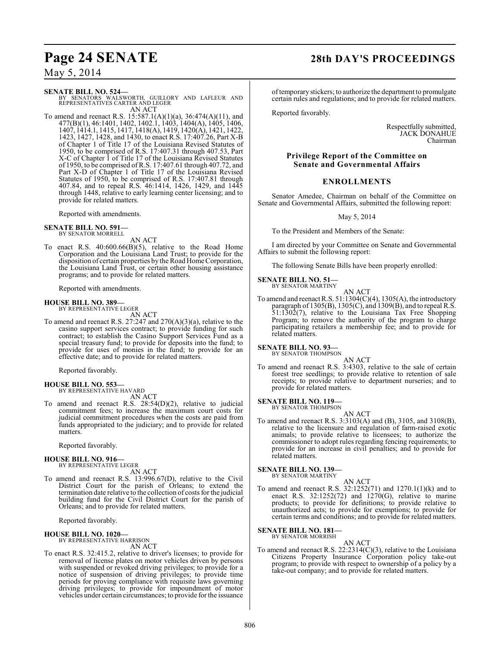### **Page 24 SENATE 28th DAY'S PROCEEDINGS**

May 5, 2014

**SENATE BILL NO. 524—**<br>BY SENATORS WALSWORTH, GUILLORY AND LAFLEUR AND<br>REPRESENTATIVES CARTER AND LEGER AN ACT

To amend and reenact R.S. 15:587.1(A)(1)(a), 36:474(A)(11), and 477(B)(1), 46:1401, 1402, 1402.1, 1403, 1404(A), 1405, 1406, 1407, 1414.1, 1415, 1417, 1418(A), 1419, 1420(A), 1421, 1422, 1423, 1427, 1428, and 1430, to enact R.S. 17:407.26, Part X-B of Chapter 1 of Title 17 of the Louisiana Revised Statutes of 1950, to be comprised of R.S. 17:407.31 through 407.53, Part X-C of Chapter 1 of Title 17 of the Louisiana Revised Statutes of 1950, to be comprised of R.S. 17:407.61 through 407.72, and Part X-D of Chapter 1 of Title 17 of the Louisiana Revised Statutes of 1950, to be comprised of R.S. 17:407.81 through 407.84, and to repeal R.S. 46:1414, 1426, 1429, and 1445 through 1448, relative to early learning center licensing; and to provide for related matters.

Reported with amendments.

**SENATE BILL NO. 591—** BY SENATOR MORRELL

AN ACT

To enact R.S. 40:600.66(B)(5), relative to the Road Home Corporation and the Louisiana Land Trust; to provide for the disposition of certain properties by the Road Home Corporation, the Louisiana Land Trust, or certain other housing assistance programs; and to provide for related matters.

Reported with amendments.

#### **HOUSE BILL NO. 389—** BY REPRESENTATIVE LEGER

AN ACT

To amend and reenact R.S. 27:247 and 270(A)(3)(a), relative to the casino support services contract; to provide funding for such contract; to establish the Casino Support Services Fund as a special treasury fund; to provide for deposits into the fund; to provide for uses of monies in the fund; to provide for an effective date; and to provide for related matters.

Reported favorably.

# **HOUSE BILL NO. 553—** BY REPRESENTATIVE HAVARD

AN ACT

To amend and reenact R.S. 28:54(D)(2), relative to judicial commitment fees; to increase the maximum court costs for judicial commitment procedures when the costs are paid from funds appropriated to the judiciary; and to provide for related matters.

Reported favorably.

#### **HOUSE BILL NO. 916—** BY REPRESENTATIVE LEGER

AN ACT

To amend and reenact R.S. 13:996.67(D), relative to the Civil District Court for the parish of Orleans; to extend the termination date relative to the collection of costs for the judicial building fund for the Civil District Court for the parish of Orleans; and to provide for related matters.

Reported favorably.

#### **HOUSE BILL NO. 1020—**

BY REPRESENTATIVE HARRISON AN ACT

To enact R.S. 32:415.2, relative to driver's licenses; to provide for removal of license plates on motor vehicles driven by persons with suspended or revoked driving privileges; to provide for a notice of suspension of driving privileges; to provide time periods for proving compliance with requisite laws governing driving privileges; to provide for impoundment of motor vehicles under certain circumstances; to provide for the issuance of temporary stickers; to authorize the department to promulgate certain rules and regulations; and to provide for related matters.

Reported favorably.

Respectfully submitted, JACK DONAHUE Chairman

### **Privilege Report of the Committee on Senate and Governmental Affairs**

### **ENROLLMENTS**

Senator Amedee, Chairman on behalf of the Committee on Senate and Governmental Affairs, submitted the following report:

May 5, 2014

To the President and Members of the Senate:

I am directed by your Committee on Senate and Governmental Affairs to submit the following report:

The following Senate Bills have been properly enrolled:

#### **SENATE BILL NO. 51—** BY SENATOR MARTINY

AN ACT

To amend and reenact R.S.  $51:1304(C)(4)$ ,  $1305(A)$ , the introductory paragraph of 1305(B), 1305(C), and 1309(B), and to repeal R.S. 51:1302(7), relative to the Louisiana Tax Free Shopping Program; to remove the authority of the program to charge participating retailers a membership fee; and to provide for related matters.

#### **SENATE BILL NO. 93—** BY SENATOR THOMPSON

AN ACT

To amend and reenact R.S. 3:4303, relative to the sale of certain forest tree seedlings; to provide relative to retention of sale receipts; to provide relative to department nurseries; and to provide for related matters.

### **SENATE BILL NO. 119—**<br>BY SENATOR THOMPSON

AN ACT To amend and reenact R.S. 3:3103(A) and (B), 3105, and 3108(B), relative to the licensure and regulation of farm-raised exotic animals; to provide relative to licensees; to authorize the commissioner to adopt rules regarding fencing requirements; to provide for an increase in civil penalties; and to provide for related matters.

#### **SENATE BILL NO. 139—**

BY SENATOR MARTINY

AN ACT To amend and reenact R.S. 32:1252(71) and 1270.1(1)(k) and to enact R.S.  $32:1252(72)$  and  $1270(G)$ , relative to marine products; to provide for definitions; to provide relative to unauthorized acts; to provide for exemptions; to provide for certain terms and conditions; and to provide for related matters.

**SENATE BILL NO. 181—** BY SENATOR MORRISH

- AN ACT
- To amend and reenact R.S. 22:2314(C)(3), relative to the Louisiana Citizens Property Insurance Corporation policy take-out program; to provide with respect to ownership of a policy by a take-out company; and to provide for related matters.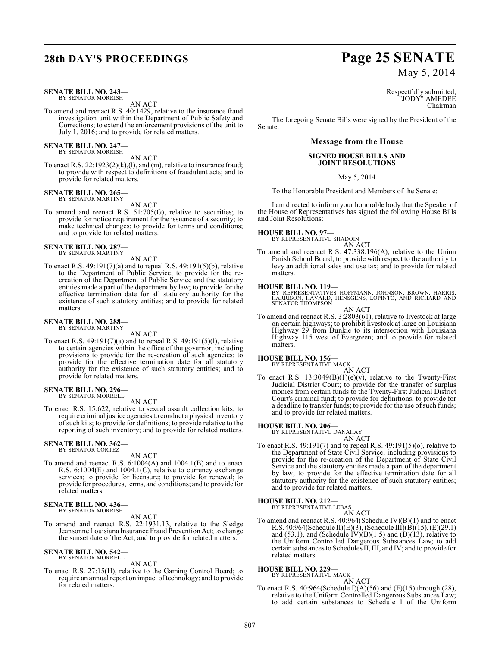#### **SENATE BILL NO. 243—** BY SENATOR MORRISH

AN ACT

To amend and reenact R.S. 40:1429, relative to the insurance fraud investigation unit within the Department of Public Safety and Corrections; to extend the enforcement provisions of the unit to July 1, 2016; and to provide for related matters.

#### **SENATE BILL NO. 247—** BY SENATOR MORRISH

AN ACT

To enact R.S. 22:1923(2)(k),(l), and (m), relative to insurance fraud; to provide with respect to definitions of fraudulent acts; and to provide for related matters.

### **SENATE BILL NO. 265—** BY SENATOR MARTINY

AN ACT

To amend and reenact R.S. 51:705(G), relative to securities; to provide for notice requirement for the issuance of a security; to make technical changes; to provide for terms and conditions; and to provide for related matters.

# **SENATE BILL NO. 287—** BY SENATOR MARTINY

AN ACT

To enact R.S. 49:191(7)(a) and to repeal R.S. 49:191(5)(b), relative to the Department of Public Service; to provide for the recreation of the Department of Public Service and the statutory entities made a part of the department by law; to provide for the effective termination date for all statutory authority for the existence of such statutory entities; and to provide for related matters.

#### **SENATE BILL NO. 288—** BY SENATOR MARTINY

AN ACT

To enact R.S. 49:191(7)(a) and to repeal R.S. 49:191(5)(l), relative to certain agencies within the office of the governor, including provisions to provide for the re-creation of such agencies; to provide for the effective termination date for all statutory authority for the existence of such statutory entities; and to provide for related matters.

#### **SENATE BILL NO. 296—** BY SENATOR MORRELL

AN ACT

To enact R.S. 15:622, relative to sexual assault collection kits; to require criminal justice agencies to conduct a physical inventory ofsuch kits; to provide for definitions; to provide relative to the reporting of such inventory; and to provide for related matters.

#### **SENATE BILL NO. 362—** BY SENATOR CORTEZ

AN ACT

To amend and reenact R.S. 6:1004(A) and 1004.1(B) and to enact R.S. 6:1004(E) and 1004.1(C), relative to currency exchange services; to provide for licensure; to provide for renewal; to provide for procedures, terms, and conditions; and to provide for related matters.

#### **SENATE BILL NO. 436—** BY SENATOR MORRISH

AN ACT

To amend and reenact R.S. 22:1931.13, relative to the Sledge Jeansonne Louisiana Insurance Fraud Prevention Act; to change the sunset date of the Act; and to provide for related matters.

#### **SENATE BILL NO. 542—** BY SENATOR MORRELL

AN ACT

To enact R.S. 27:15(H), relative to the Gaming Control Board; to require an annual report on impact of technology; and to provide for related matters.

# **28th DAY'S PROCEEDINGS Page 25 SENATE** May 5, 2014

Respectfully submitted, "JODY" AMEDEE Chairman

The foregoing Senate Bills were signed by the President of the Senate.

#### **Message from the House**

### **SIGNED HOUSE BILLS AND JOINT RESOLUTIONS**

May 5, 2014

To the Honorable President and Members of the Senate:

I am directed to inform your honorable body that the Speaker of the House of Representatives has signed the following House Bills and Joint Resolutions:

### **HOUSE BILL NO. 97—**

BY REPRESENTATIVE SHADOIN

AN ACT

To amend and reenact R.S. 47:338.196(A), relative to the Union Parish School Board; to provide with respect to the authority to levy an additional sales and use tax; and to provide for related matters.

#### **HOUSE BILL NO. 119—**

BY REPRESENTATIVES HOFFMANN, JOHNSON, BROWN, HARRIS,<br>HARRISON, HAVARD, HENSGENS, LOPINTO, AND RICHARD AND<br>SENATOR THOMPSON

AN ACT

To amend and reenact R.S. 3:2803(61), relative to livestock at large on certain highways; to prohibit livestock at large on Louisiana Highway 29 from Bunkie to its intersection with Louisiana Highway 115 west of Evergreen; and to provide for related matters.

### **HOUSE BILL NO. 156—** BY REPRESENTATIVE MACK

AN ACT

To enact R.S.  $13:3049(B)(1)(e)(v)$ , relative to the Twenty-First Judicial District Court; to provide for the transfer of surplus monies from certain funds to the Twenty-First Judicial District Court's criminal fund; to provide for definitions; to provide for a deadline to transfer funds; to provide for the use of such funds; and to provide for related matters.

### **HOUSE BILL NO. 206—** BY REPRESENTATIVE DANAHAY

- AN ACT
- To enact R.S. 49:191(7) and to repeal R.S. 49:191(5)(o), relative to the Department of State Civil Service, including provisions to provide for the re-creation of the Department of State Civil Service and the statutory entities made a part of the department by law; to provide for the effective termination date for all statutory authority for the existence of such statutory entities; and to provide for related matters.

### **HOUSE BILL NO. 212—** BY REPRESENTATIVE LEBAS

AN ACT

To amend and reenact R.S. 40:964(Schedule IV)(B)(1) and to enact R.S. 40:964(Schedule II)(E)(3), (Schedule III)(B)(15), (E)(29.1) and (53.1), and (Schedule IV)(B)(1.5) and (D)(13), relative to the Uniform Controlled Dangerous Substances Law; to add certain substances to Schedules II, III, and IV; and to provide for related matters.

#### **HOUSE BILL NO. 229—** BY REPRESENTATIVE MACK

AN ACT To enact R.S. 40:964(Schedule I)(A)(56) and (F)(15) through (28), relative to the Uniform Controlled Dangerous Substances Law; to add certain substances to Schedule I of the Uniform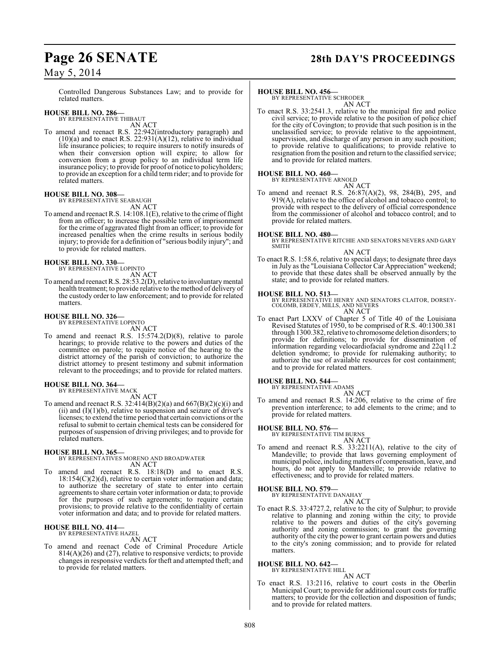Controlled Dangerous Substances Law; and to provide for related matters.

#### **HOUSE BILL NO. 286—** BY REPRESENTATIVE THIBAUT

AN ACT

To amend and reenact R.S. 22:942(introductory paragraph) and  $(10)(a)$  and to enact R.S. 22:931(A)(12), relative to individual life insurance policies; to require insurers to notify insureds of when their conversion option will expire; to allow for conversion from a group policy to an individual term life insurance policy; to provide for proof of notice to policyholders; to provide an exception for a child term rider; and to provide for related matters.

# **HOUSE BILL NO. 308—** BY REPRESENTATIVE SEABAUGH

AN ACT To amend and reenact R.S. 14:108.1(E), relative to the crime of flight from an officer; to increase the possible term of imprisonment for the crime of aggravated flight from an officer; to provide for increased penalties when the crime results in serious bodily injury; to provide for a definition of "serious bodily injury"; and to provide for related matters.

#### **HOUSE BILL NO. 330—**

BY REPRESENTATIVE LOPINTO AN ACT

To amend and reenact R.S. 28:53.2(D), relative to involuntary mental health treatment; to provide relative to the method of delivery of the custody order to law enforcement; and to provide for related matters.

#### **HOUSE BILL NO. 326—** BY REPRESENTATIVE LOPINTO

AN ACT

To amend and reenact R.S. 15:574.2(D)(8), relative to parole hearings; to provide relative to the powers and duties of the committee on parole; to require notice of the hearing to the district attorney of the parish of conviction; to authorize the district attorney to present testimony and submit information relevant to the proceedings; and to provide for related matters.

### **HOUSE BILL NO. 364—** BY REPRESENTATIVE MACK

AN ACT

To amend and reenact R.S. 32:414(B)(2)(a) and 667(B)(2)(c)(i) and (ii) and  $(I)(1)(b)$ , relative to suspension and seizure of driver's licenses; to extend the time period that certain convictions or the refusal to submit to certain chemical tests can be considered for purposes of suspension of driving privileges; and to provide for related matters.

#### **HOUSE BILL NO. 365—**

BY REPRESENTATIVES MORENO AND BROADWATER AN ACT

To amend and reenact R.S. 18:18(D) and to enact R.S. 18:154(C)(2)(d), relative to certain voter information and data; to authorize the secretary of state to enter into certain agreements to share certain voter information or data; to provide for the purposes of such agreements; to require certain provisions; to provide relative to the confidentiality of certain voter information and data; and to provide for related matters.

#### **HOUSE BILL NO. 414—**

BY REPRESENTATIVE HAZEL

to provide for related matters.

AN ACT To amend and reenact Code of Criminal Procedure Article 814(A)(26) and (27), relative to responsive verdicts; to provide changes in responsive verdicts for theft and attempted theft; and

# **Page 26 SENATE 28th DAY'S PROCEEDINGS**

#### **HOUSE BILL NO. 456—**

BY REPRESENTATIVE SCHRODER AN ACT

To enact R.S. 33:2541.3, relative to the municipal fire and police civil service; to provide relative to the position of police chief for the city of Covington; to provide that such position is in the unclassified service; to provide relative to the appointment, supervision, and discharge of any person in any such position; to provide relative to qualifications; to provide relative to resignation from the position and return to the classified service; and to provide for related matters.

#### **HOUSE BILL NO. 460—**

BY REPRESENTATIVE ARNOLD

AN ACT To amend and reenact R.S. 26:87(A)(2), 98, 284(B), 295, and 919(A), relative to the office of alcohol and tobacco control; to provide with respect to the delivery of official correspondence from the commissioner of alcohol and tobacco control; and to provide for related matters.

#### **HOUSE BILL NO. 480—**

BY REPRESENTATIVE RITCHIE AND SENATORS NEVERS AND GARY SMITH

#### AN ACT

To enact R.S. 1:58.6, relative to special days; to designate three days in July as the "Louisiana Collector Car Appreciation" weekend; to provide that these dates shall be observed annually by the state; and to provide for related matters.

**HOUSE BILL NO. 513—**<br>BY REPRESENTATIVE HENRY AND SENATORS CLAITOR, DORSEY-<br>COLOMB, ERDEY, MILLS, AND NEVERS<br>AN ACT

To enact Part LXXV of Chapter 5 of Title 40 of the Louisiana Revised Statutes of 1950, to be comprised of R.S. 40:1300.381 through 1300.382, relative to chromosome deletion disorders; to provide for definitions; to provide for dissemination of information regarding velocardiofacial syndrome and 22q11.2 deletion syndrome; to provide for rulemaking authority; to authorize the use of available resources for cost containment; and to provide for related matters.

#### **HOUSE BILL NO. 544—**

BY REPRESENTATIVE ADAMS AN ACT

To amend and reenact R.S. 14:206, relative to the crime of fire prevention interference; to add elements to the crime; and to provide for related matters.

#### **HOUSE BILL NO. 576—**

BY REPRESENTATIVE TIM BURNS AN ACT

To amend and reenact R.S. 33:2211(A), relative to the city of Mandeville; to provide that laws governing employment of municipal police, including matters of compensation, leave, and hours, do not apply to Mandeville; to provide relative to effectiveness; and to provide for related matters.

#### **HOUSE BILL NO. 579—**

BY REPRESENTATIVE DANAHAY AN ACT

To enact R.S. 33:4727.2, relative to the city of Sulphur; to provide relative to planning and zoning within the city; to provide relative to the powers and duties of the city's governing authority and zoning commission; to grant the governing authority of the city the power to grant certain powers and duties to the city's zoning commission; and to provide for related matters.

### **HOUSE BILL NO. 642—** BY REPRESENTATIVE HILL

AN ACT

To enact R.S. 13:2116, relative to court costs in the Oberlin Municipal Court; to provide for additional court costs for traffic matters; to provide for the collection and disposition of funds; and to provide for related matters.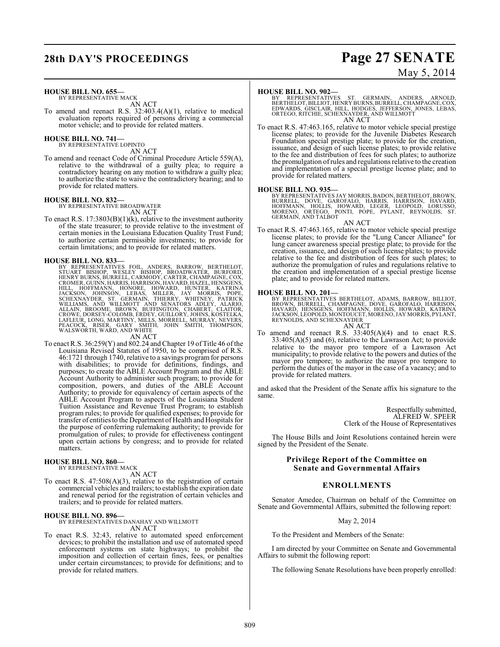# **28th DAY'S PROCEEDINGS Page 27 SENATE**

# May 5, 2014

### **HOUSE BILL NO. 655—**

BY REPRESENTATIVE MACK AN ACT

To amend and reenact R.S. 32:403.4(A)(1), relative to medical evaluation reports required of persons driving a commercial motor vehicle; and to provide for related matters.

# **HOUSE BILL NO. 741—** BY REPRESENTATIVE LOPINTO

AN ACT

To amend and reenact Code of Criminal Procedure Article 559(A), relative to the withdrawal of a guilty plea; to require a contradictory hearing on any motion to withdraw a guilty plea; to authorize the state to waive the contradictory hearing; and to provide for related matters.

# **HOUSE BILL NO. 832—** BY REPRESENTATIVE BROADWATER

AN ACT

To enact R.S.  $17:3803(B)(1)(k)$ , relative to the investment authority of the state treasurer; to provide relative to the investment of certain monies in the Louisiana Education Quality Trust Fund; to authorize certain permissible investments; to provide for certain limitations; and to provide for related matters.

HOUSE BILL NO. 833—<br>
BY REPRESENTATIVES FOIL, ANDERS, BARROW, BERTHELOT,<br>
STUART BISHOP, WESLEY BISHOP, BROADWATER, BURFORD,<br>
HENRY BURNS, BURRELL, CARMODY, CARTER, CHAMPAGNE, COX,<br>
CROMER, GUINN, HARRIS, HARRISON, HAVARD,

AN ACT<br>To enact R.S. 36:259(Y) and 802.24 and Chapter 19 of Title 46 of the Louisiana Revised Statutes of 1950, to be comprised of R.S. 46:1721 through 1740, relative to a savings program for persons with disabilities; to provide for definitions, findings, and purposes; to create the ABLE Account Program and the ABLE Account Authority to administer such program; to provide for composition, powers, and duties of the ABLE Account Authority; to provide for equivalency of certain aspects of the ABLE Account Program to aspects of the Louisiana Student Tuition Assistance and Revenue Trust Program; to establish program rules; to provide for qualified expenses; to provide for transfer of entitiesto the Department of Health and Hospitals for the purpose of conferring rulemaking authority; to provide for promulgation of rules; to provide for effectiveness contingent upon certain actions by congress; and to provide for related matters.

## **HOUSE BILL NO. 860—** BY REPRESENTATIVE MACK

AN ACT

To enact R.S. 47:508(A)(3), relative to the registration of certain commercial vehicles and trailers; to establish the expiration date and renewal period for the registration of certain vehicles and trailers; and to provide for related matters.

#### **HOUSE BILL NO. 896—**

BY REPRESENTATIVES DANAHAY AND WILLMOTT AN ACT

To enact R.S. 32:43, relative to automated speed enforcement devices; to prohibit the installation and use of automated speed enforcement systems on state highways; to prohibit the imposition and collection of certain fines, fees, or penalties under certain circumstances; to provide for definitions; and to provide for related matters.

#### **HOUSE BILL NO. 902—**

BY REPRESENTATIVES ST. GERMAIN, ANDERS, ARNOLD,<br>BERTHELOT,BILLIOT,HENRYBURNS,BURRELL,CHAMPAGNE,COX,<br>EDWARDS,GISCLAIR,HILL,HODGES,JEFFERSON,JONES,LEBAS,<br>ORTEGO,RITCHIE,SCHEXNAYDER,ANDWILLMOTT AN ACT

To enact R.S. 47:463.165, relative to motor vehicle special prestige license plates; to provide for the Juvenile Diabetes Research Foundation special prestige plate; to provide for the creation, issuance, and design of such license plates; to provide relative to the fee and distribution of fees for such plates; to authorize the promulgation of rules and regulations relative to the creation and implementation of a special prestige license plate; and to provide for related matters.

#### **HOUSE BILL NO. 935—**

BY REPRESENTATIVES JAY MORRIS, BADON, BERTHELOT, BROWN,<br>BURRELL, DOVE, GAROFALO, HARRIS, HARRISON, HAVARD,<br>HOFMANN, HOLLIS, HOWARD, LEGER, LEOPOLD, LORUSSO,<br>MORENO, ORTEGO, PONTI, POPE, PYLANT,

#### AN ACT

To enact R.S. 47:463.165, relative to motor vehicle special prestige license plates; to provide for the "Lung Cancer Alliance" for lung cancer awareness special prestige plate; to provide for the creation, issuance, and design of such license plates; to provide relative to the fee and distribution of fees for such plates; to authorize the promulgation of rules and regulations relative to the creation and implementation of a special prestige license plate; and to provide for related matters.

#### **HOUSE BILL NO. 201—**

BY REPRESENTATIVES BERTHELOT, ADAMS, BARROW, BILLIOT,<br>BROWN, BURRELL, CHAMPAGNE, DOVE, GAROFALO, HARRISON,<br>HAVARD, HENSGENS, HOFFMANN, HOLLIS, HOWARD, KATRINA<br>JACKSON,LEOPOLD,MONTOUCET,MORENO,JAYMORRIS,PYLANT,<br>REYNOLDS, AN AN ACT

To amend and reenact R.S. 33:405(A)(4) and to enact R.S.  $33:405(A)(5)$  and  $(6)$ , relative to the Lawrason Act; to provide relative to the mayor pro tempore of a Lawrason Act municipality; to provide relative to the powers and duties of the mayor pro tempore; to authorize the mayor pro tempore to perform the duties of the mayor in the case of a vacancy; and to provide for related matters.

and asked that the President of the Senate affix his signature to the same.

> Respectfully submitted, ALFRED W. SPEER Clerk of the House of Representatives

The House Bills and Joint Resolutions contained herein were signed by the President of the Senate.

#### **Privilege Report of the Committee on Senate and Governmental Affairs**

#### **ENROLLMENTS**

Senator Amedee, Chairman on behalf of the Committee on Senate and Governmental Affairs, submitted the following report:

#### May 2, 2014

To the President and Members of the Senate:

I am directed by your Committee on Senate and Governmental Affairs to submit the following report:

The following Senate Resolutions have been properly enrolled: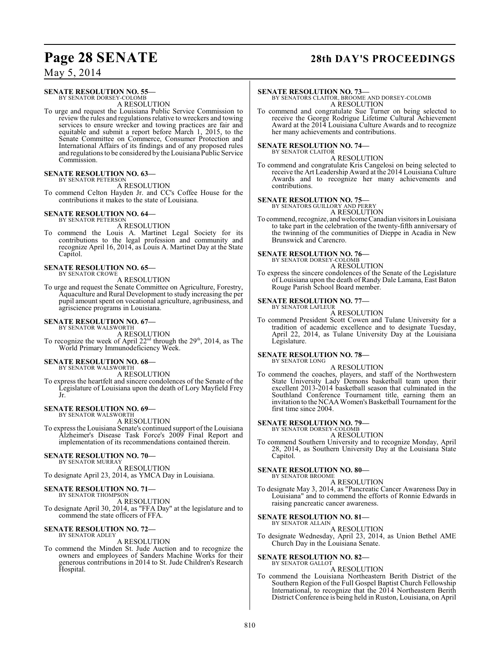### **Page 28 SENATE 28th DAY'S PROCEEDINGS**

May 5, 2014

#### **SENATE RESOLUTION NO. 55—** BY SENATOR DORSEY-COLOMB

A RESOLUTION

To urge and request the Louisiana Public Service Commission to review the rules and regulations relative to wreckers and towing services to ensure wrecker and towing practices are fair and equitable and submit a report before March 1, 2015, to the Senate Committee on Commerce, Consumer Protection and International Affairs of its findings and of any proposed rules and regulations to be considered by the Louisiana Public Service Commission.

#### **SENATE RESOLUTION NO. 63—**

BY SENATOR PETERSON A RESOLUTION

To commend Celton Hayden Jr. and CC's Coffee House for the contributions it makes to the state of Louisiana.

#### **SENATE RESOLUTION NO. 64—** BY SENATOR PETERSON

A RESOLUTION

To commend the Louis A. Martinet Legal Society for its contributions to the legal profession and community and recognize April 16, 2014, as Louis A. Martinet Day at the State Capitol.

#### **SENATE RESOLUTION NO. 65—** BY SENATOR CROWE

A RESOLUTION

To urge and request the Senate Committee on Agriculture, Forestry, Aquaculture and Rural Development to study increasing the per pupil amount spent on vocational agriculture, agribusiness, and agriscience programs in Louisiana.

# **SENATE RESOLUTION NO. 67-**<br>BY SENATOR WALSWORTH

A RESOLUTION

To recognize the week of April  $22<sup>nd</sup>$  through the  $29<sup>th</sup>$ , 2014, as The World Primary Immunodeficiency Week.

#### **SENATE RESOLUTION NO. 68—**

BY SENATOR WALSWORTH A RESOLUTION

To express the heartfelt and sincere condolences of the Senate of the Legislature of Louisiana upon the death of Lory Mayfield Frey Jr.

#### **SENATE RESOLUTION NO. 69—** BY SENATOR WALSWORTH

A RESOLUTION

To expressthe Louisiana Senate's continued support ofthe Louisiana Alzheimer's Disease Task Force's 2009 Final Report and implementation of its recommendations contained therein.

### **SENATE RESOLUTION NO. 70—**

BY SENATOR MURRAY A RESOLUTION

To designate April 23, 2014, as YMCA Day in Louisiana.

#### **SENATE RESOLUTION NO. 71—**

BY SENATOR THOMPSON A RESOLUTION To designate April 30, 2014, as "FFA Day" at the legislature and to

commend the state officers of FFA.

#### **SENATE RESOLUTION NO. 72—** BY SENATOR ADLEY

#### A RESOLUTION

To commend the Minden St. Jude Auction and to recognize the owners and employees of Sanders Machine Works for their generous contributions in 2014 to St. Jude Children's Research Hospital.

**SENATE RESOLUTION NO. 73—** BY SENATORS CLAITOR, BROOME AND DORSEY-COLOMB A RESOLUTION

To commend and congratulate Sue Turner on being selected to receive the George Rodrigue Lifetime Cultural Achievement Award at the 2014 Louisiana Culture Awards and to recognize her many achievements and contributions.

#### **SENATE RESOLUTION NO. 74—**

BY SENATOR CLAITOR A RESOLUTION

To commend and congratulate Kris Cangelosi on being selected to receive the Art Leadership Award at the 2014 Louisiana Culture Awards and to recognize her many achievements and contributions.

# **SENATE RESOLUTION NO. 75—**<br>BY SENATORS GUILLORY AND PERRY

A RESOLUTION

To commend, recognize, and welcome Canadian visitors in Louisiana to take part in the celebration of the twenty-fifth anniversary of the twinning of the communities of Dieppe in Acadia in New Brunswick and Carencro.

### **SENATE RESOLUTION NO. 76—**

BY SENATOR DORSEY-COLOMB A RESOLUTION

To express the sincere condolences of the Senate of the Legislature of Louisiana upon the death of Randy Dale Lamana, East Baton Rouge Parish School Board member.

#### **SENATE RESOLUTION NO. 77—** BY SENATOR LAFLEUR

A RESOLUTION

To commend President Scott Cowen and Tulane University for a tradition of academic excellence and to designate Tuesday, April 22, 2014, as Tulane University Day at the Louisiana Legislature.

#### **SENATE RESOLUTION NO. 78—** BY SENATOR LONG

A RESOLUTION

To commend the coaches, players, and staff of the Northwestern State University Lady Demons basketball team upon their excellent 2013-2014 basketball season that culminated in the Southland Conference Tournament title, earning them an invitation to the NCAA Women's Basketball Tournament for the first time since 2004.

#### **SENATE RESOLUTION NO. 79—** BY SENATOR DORSEY-COLOMB

A RESOLUTION

To commend Southern University and to recognize Monday, April 28, 2014, as Southern University Day at the Louisiana State Capitol.

#### **SENATE RESOLUTION NO. 80—**

BY SENATOR BROOME A RESOLUTION

To designate May 3, 2014, as "Pancreatic Cancer Awareness Day in Louisiana" and to commend the efforts of Ronnie Edwards in raising pancreatic cancer awareness.

#### **SENATE RESOLUTION NO. 81—**

BY SENATOR ALLAIN A RESOLUTION

To designate Wednesday, April 23, 2014, as Union Bethel AME Church Day in the Louisiana Senate.

#### **SENATE RESOLUTION NO. 82—** BY SENATOR GALLOT

#### A RESOLUTION

To commend the Louisiana Northeastern Berith District of the Southern Region of the Full Gospel Baptist Church Fellowship International, to recognize that the 2014 Northeastern Berith District Conference is being held in Ruston, Louisiana, on April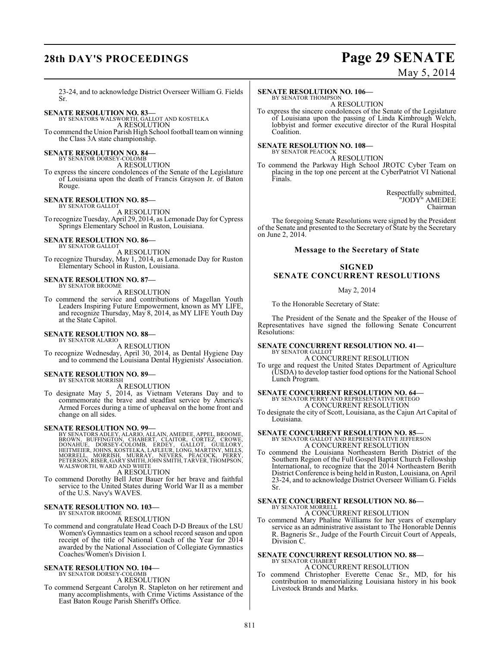# **28th DAY'S PROCEEDINGS Page 29 SENATE**

### May 5, 2014

23-24, and to acknowledge District Overseer William G. Fields Sr.

### **SENATE RESOLUTION NO. 83—** BY SENATORS WALSWORTH, GALLOT AND KOSTELKA

A RESOLUTION

To commend the Union Parish High School football team on winning the Class 3A state championship.

#### **SENATE RESOLUTION NO. 84—**

BY SENATOR DORSEY-COLOMB A RESOLUTION

To express the sincere condolences of the Senate of the Legislature of Louisiana upon the death of Francis Grayson Jr. of Baton Rouge.

#### **SENATE RESOLUTION NO. 85—**

BY SENATOR GALLOT A RESOLUTION To recognize Tuesday, April 29, 2014, as Lemonade Day for Cypress Springs Elementary School in Ruston, Louisiana.

#### **SENATE RESOLUTION NO. 86—** BY SENATOR GALLOT

A RESOLUTION

To recognize Thursday, May 1, 2014, as Lemonade Day for Ruston Elementary School in Ruston, Louisiana.

#### **SENATE RESOLUTION NO. 87—** BY SENATOR BROOME

A RESOLUTION

To commend the service and contributions of Magellan Youth Leaders Inspiring Future Empowerment, known as MY LIFE, and recognize Thursday, May 8, 2014, as MY LIFE Youth Day at the State Capitol.

#### **SENATE RESOLUTION NO. 88—**

BY SENATOR ALARIO

A RESOLUTION To recognize Wednesday, April 30, 2014, as Dental Hygiene Day and to commend the Louisiana Dental Hygienists' Association.

#### **SENATE RESOLUTION NO. 89—** BY SENATOR MORRISH

A RESOLUTION

To designate May 5, 2014, as Vietnam Veterans Day and to commemorate the brave and steadfast service by America's Armed Forces during a time of upheaval on the home front and change on all sides.

**SENATE RESOLUTION NO. 99—**<br>BY SENATORS ADLEY, ALARIO, ALLAIN, AMEDEE, APPEL, BROOME, BROWN, BUFFINGTON, CHABERT, CLAITOR, CORTEZ, CROWE,<br>DONAHUE, DORSEY-COLOMB, ERDEY, GALLOT, GUILLORY,<br>HEITMEIER, JOHNS, KOSTELKA, LAFLEUR

A RESOLUTION

To commend Dorothy Bell Jeter Bauer for her brave and faithful service to the United States during World War II as a member of the U.S. Navy's WAVES.

### **SENATE RESOLUTION NO. 103—** BY SENATOR BROOME

A RESOLUTION

To commend and congratulate Head Coach D-D Breaux of the LSU Women's Gymnastics team on a school record season and upon receipt of the title of National Coach of the Year for 2014 awarded by the National Association of Collegiate Gymnastics Coaches/Women's Division I.

#### **SENATE RESOLUTION NO. 104—** BY SENATOR DORSEY-COLOMB

A RESOLUTION

To commend Sergeant Carolyn R. Stapleton on her retirement and many accomplishments, with Crime Victims Assistance of the East Baton Rouge Parish Sheriff's Office.

#### **SENATE RESOLUTION NO. 106—**

BY SENATOR THOMPSON A RESOLUTION

To express the sincere condolences of the Senate of the Legislature of Louisiana upon the passing of Linda Kimbrough Welch, lobbyist and former executive director of the Rural Hospital Coalition.

#### **SENATE RESOLUTION NO. 108—** BY SENATOR PEACOCK

A RESOLUTION

To commend the Parkway High School JROTC Cyber Team on placing in the top one percent at the CyberPatriot VI National Finals.

> Respectfully submitted, "JODY" AMEDEE Chairman

The foregoing Senate Resolutions were signed by the President of the Senate and presented to the Secretary of State by the Secretary on June 2, 2014.

### **Message to the Secretary of State**

#### **SIGNED**

### **SENATE CONCURRENT RESOLUTIONS**

May 2, 2014

To the Honorable Secretary of State:

The President of the Senate and the Speaker of the House of Representatives have signed the following Senate Concurrent Resolutions:

#### **SENATE CONCURRENT RESOLUTION NO. 41—** BY SENATOR GALLOT

A CONCURRENT RESOLUTION

To urge and request the United States Department of Agriculture (USDA) to develop tastier food options for the National School Lunch Program.

#### **SENATE CONCURRENT RESOLUTION NO. 64—**

BY SENATOR PERRY AND REPRESENTATIVE ORTEGO A CONCURRENT RESOLUTION

To designate the city of Scott, Louisiana, as the Cajun Art Capital of Louisiana.

#### **SENATE CONCURRENT RESOLUTION NO. 85—**

BY SENATOR GALLOT AND REPRESENTATIVE JEFFERSON A CONCURRENT RESOLUTION

To commend the Louisiana Northeastern Berith District of the Southern Region of the Full Gospel Baptist Church Fellowship International, to recognize that the 2014 Northeastern Berith District Conference is being held in Ruston, Louisiana, on April 23-24, and to acknowledge District Overseer William G. Fields Sr.

### **SENATE CONCURRENT RESOLUTION NO. 86—** BY SENATOR MORRELL

A CONCURRENT RESOLUTION

To commend Mary Phaline Williams for her years of exemplary service as an administrative assistant to The Honorable Dennis R. Bagneris Sr., Judge of the Fourth Circuit Court of Appeals, Division C.

# **SENATE CONCURRENT RESOLUTION NO. 88—** BY SENATOR CHABERT

### A CONCURRENT RESOLUTION

To commend Christopher Everette Cenac Sr., MD, for his contribution to memorializing Louisiana history in his book Livestock Brands and Marks.